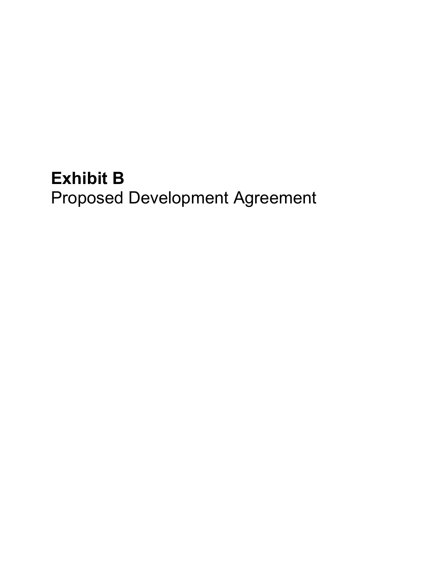# **Exhibit B**  Proposed Development Agreement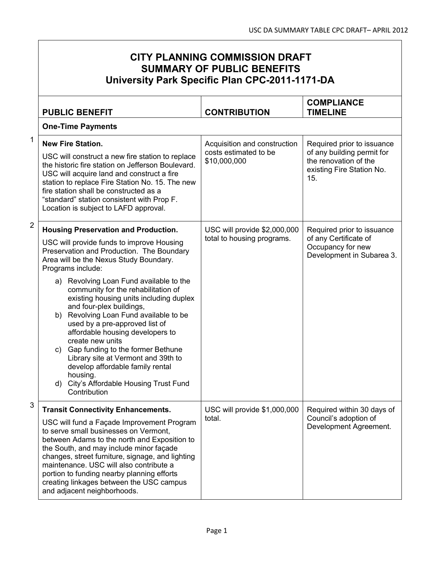|                | <b>CITY PLANNING COMMISSION DRAFT</b><br><b>SUMMARY OF PUBLIC BENEFITS</b><br>University Park Specific Plan CPC-2011-1171-DA                                                                                                                                                                                                                                                                                                                                                                                                                                                                                                                                                                      |                                                                       |                                                                                                                       |
|----------------|---------------------------------------------------------------------------------------------------------------------------------------------------------------------------------------------------------------------------------------------------------------------------------------------------------------------------------------------------------------------------------------------------------------------------------------------------------------------------------------------------------------------------------------------------------------------------------------------------------------------------------------------------------------------------------------------------|-----------------------------------------------------------------------|-----------------------------------------------------------------------------------------------------------------------|
|                | <b>PUBLIC BENEFIT</b>                                                                                                                                                                                                                                                                                                                                                                                                                                                                                                                                                                                                                                                                             | <b>CONTRIBUTION</b>                                                   | <b>COMPLIANCE</b><br><b>TIMELINE</b>                                                                                  |
|                | <b>One-Time Payments</b>                                                                                                                                                                                                                                                                                                                                                                                                                                                                                                                                                                                                                                                                          |                                                                       |                                                                                                                       |
| 1              | <b>New Fire Station.</b><br>USC will construct a new fire station to replace<br>the historic fire station on Jefferson Boulevard.<br>USC will acquire land and construct a fire<br>station to replace Fire Station No. 15. The new<br>fire station shall be constructed as a<br>"standard" station consistent with Prop F.<br>Location is subject to LAFD approval.                                                                                                                                                                                                                                                                                                                               | Acquisition and construction<br>costs estimated to be<br>\$10,000,000 | Required prior to issuance<br>of any building permit for<br>the renovation of the<br>existing Fire Station No.<br>15. |
| $\overline{2}$ | <b>Housing Preservation and Production.</b><br>USC will provide funds to improve Housing<br>Preservation and Production. The Boundary<br>Area will be the Nexus Study Boundary.<br>Programs include:<br>a) Revolving Loan Fund available to the<br>community for the rehabilitation of<br>existing housing units including duplex<br>and four-plex buildings,<br>Revolving Loan Fund available to be<br>b)<br>used by a pre-approved list of<br>affordable housing developers to<br>create new units<br>c) Gap funding to the former Bethune<br>Library site at Vermont and 39th to<br>develop affordable family rental<br>housing.<br>City's Affordable Housing Trust Fund<br>d)<br>Contribution | USC will provide \$2,000,000<br>total to housing programs.            | Required prior to issuance<br>of any Certificate of<br>Occupancy for new<br>Development in Subarea 3.                 |
| 3              | <b>Transit Connectivity Enhancements.</b><br>USC will fund a Façade Improvement Program<br>to serve small businesses on Vermont,<br>between Adams to the north and Exposition to<br>the South, and may include minor façade<br>changes, street furniture, signage, and lighting<br>maintenance. USC will also contribute a<br>portion to funding nearby planning efforts<br>creating linkages between the USC campus<br>and adjacent neighborhoods.                                                                                                                                                                                                                                               | USC will provide \$1,000,000<br>total.                                | Required within 30 days of<br>Council's adoption of<br>Development Agreement.                                         |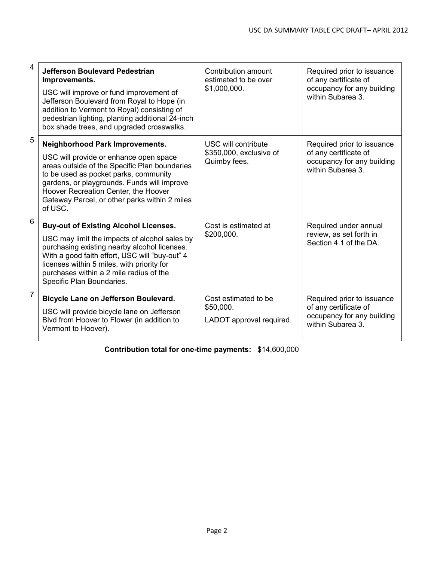| $\overline{4}$ | <b>Jefferson Boulevard Pedestrian</b><br>Improvements.<br>USC will improve or fund improvement of<br>Jefferson Boulevard from Royal to Hope (in<br>addition to Vermont to Royal) consisting of<br>pedestrian lighting, planting additional 24-inch<br>box shade trees, and upgraded crosswalks.                        | Contribution amount<br>estimated to be over<br>\$1,000,000.    | Required prior to issuance<br>of any certificate of<br>occupancy for any building<br>within Subarea 3. |
|----------------|------------------------------------------------------------------------------------------------------------------------------------------------------------------------------------------------------------------------------------------------------------------------------------------------------------------------|----------------------------------------------------------------|--------------------------------------------------------------------------------------------------------|
| 5              | Neighborhood Park Improvements.<br>USC will provide or enhance open space<br>areas outside of the Specific Plan boundaries<br>to be used as pocket parks, community<br>gardens, or playgrounds. Funds will improve<br>Hoover Recreation Center, the Hoover<br>Gateway Parcel, or other parks within 2 miles<br>of USC. | USC will contribute<br>\$350,000, exclusive of<br>Quimby fees. | Required prior to issuance<br>of any certificate of<br>occupancy for any building<br>within Subarea 3. |
| 6              | <b>Buy-out of Existing Alcohol Licenses.</b><br>USC may limit the impacts of alcohol sales by<br>purchasing existing nearby alcohol licenses.<br>With a good faith effort, USC will "buy-out" 4<br>licenses within 5 miles, with priority for<br>purchases within a 2 mile radius of the<br>Specific Plan Boundaries.  | Cost is estimated at<br>\$200,000.                             | Required under annual<br>review, as set forth in<br>Section 4.1 of the DA.                             |
| $\overline{7}$ | Bicycle Lane on Jefferson Boulevard.<br>USC will provide bicycle lane on Jefferson<br>Blvd from Hoover to Flower (in addition to<br>Vermont to Hoover).                                                                                                                                                                | Cost estimated to be<br>\$50,000.<br>LADOT approval required.  | Required prior to issuance<br>of any certificate of<br>occupancy for any building<br>within Subarea 3. |

**Contribution total for one-time payments:** \$14,600,000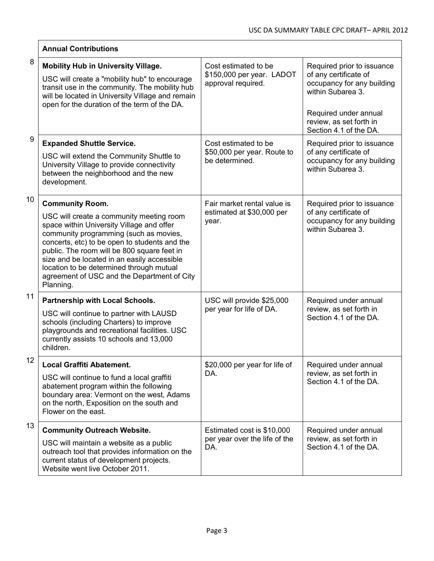|    | <b>Annual Contributions</b>                                                                                                                                                                                                                                                                                                                                                                                      |                                                                         |                                                                                                                                                                                      |
|----|------------------------------------------------------------------------------------------------------------------------------------------------------------------------------------------------------------------------------------------------------------------------------------------------------------------------------------------------------------------------------------------------------------------|-------------------------------------------------------------------------|--------------------------------------------------------------------------------------------------------------------------------------------------------------------------------------|
| 8  | <b>Mobility Hub in University Village.</b><br>USC will create a "mobility hub" to encourage<br>transit use in the community. The mobility hub<br>will be located in University Village and remain<br>open for the duration of the term of the DA.                                                                                                                                                                | Cost estimated to be<br>\$150,000 per year. LADOT<br>approval required. | Required prior to issuance<br>of any certificate of<br>occupancy for any building<br>within Subarea 3.<br>Required under annual<br>review, as set forth in<br>Section 4.1 of the DA. |
| 9  | <b>Expanded Shuttle Service.</b><br>USC will extend the Community Shuttle to<br>University Village to provide connectivity<br>between the neighborhood and the new<br>development.                                                                                                                                                                                                                               | Cost estimated to be<br>\$50,000 per year. Route to<br>be determined.   | Required prior to issuance<br>of any certificate of<br>occupancy for any building<br>within Subarea 3.                                                                               |
| 10 | <b>Community Room.</b><br>USC will create a community meeting room<br>space within University Village and offer<br>community programming (such as movies,<br>concerts, etc) to be open to students and the<br>public. The room will be 800 square feet in<br>size and be located in an easily accessible<br>location to be determined through mutual<br>agreement of USC and the Department of City<br>Planning. | Fair market rental value is<br>estimated at \$30,000 per<br>year.       | Required prior to issuance<br>of any certificate of<br>occupancy for any building<br>within Subarea 3.                                                                               |
| 11 | <b>Partnership with Local Schools.</b><br>USC will continue to partner with LAUSD<br>schools (including Charters) to improve<br>playgrounds and recreational facilities. USC<br>currently assists 10 schools and 13,000<br>children.                                                                                                                                                                             | USC will provide \$25,000<br>per year for life of DA.                   | Required under annual<br>review, as set forth in<br>Section 4.1 of the DA.                                                                                                           |
| 12 | <b>Local Graffiti Abatement.</b><br>USC will continue to fund a local graffiti<br>abatement program within the following<br>boundary area: Vermont on the west, Adams<br>on the north, Exposition on the south and<br>Flower on the east.                                                                                                                                                                        | \$20,000 per year for life of<br>DA.                                    | Required under annual<br>review, as set forth in<br>Section 4.1 of the DA.                                                                                                           |
| 13 | <b>Community Outreach Website.</b><br>USC will maintain a website as a public<br>outreach tool that provides information on the<br>current status of development projects.<br>Website went live October 2011.                                                                                                                                                                                                    | Estimated cost is \$10,000<br>per year over the life of the<br>DA.      | Required under annual<br>review, as set forth in<br>Section 4.1 of the DA.                                                                                                           |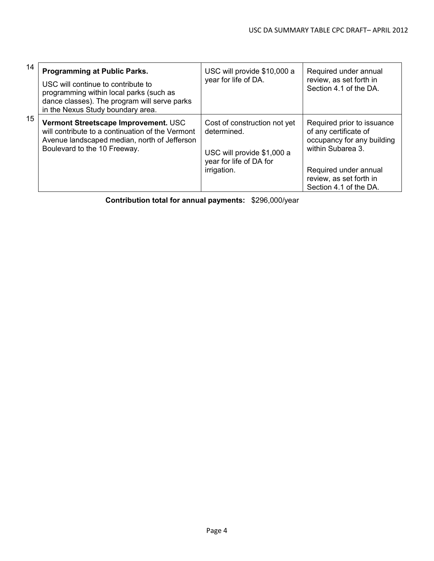| 14               | <b>Programming at Public Parks.</b><br>USC will continue to contribute to<br>programming within local parks (such as<br>dance classes). The program will serve parks<br>in the Nexus Study boundary area. | USC will provide \$10,000 a<br>year for life of DA.                                                                 | Required under annual<br>review, as set forth in<br>Section 4.1 of the DA.                                                                                                           |
|------------------|-----------------------------------------------------------------------------------------------------------------------------------------------------------------------------------------------------------|---------------------------------------------------------------------------------------------------------------------|--------------------------------------------------------------------------------------------------------------------------------------------------------------------------------------|
| 15 <sup>15</sup> | Vermont Streetscape Improvement. USC<br>will contribute to a continuation of the Vermont<br>Avenue landscaped median, north of Jefferson<br>Boulevard to the 10 Freeway.                                  | Cost of construction not yet<br>determined.<br>USC will provide \$1,000 a<br>year for life of DA for<br>irrigation. | Required prior to issuance<br>of any certificate of<br>occupancy for any building<br>within Subarea 3.<br>Required under annual<br>review, as set forth in<br>Section 4.1 of the DA. |

**Contribution total for annual payments:** \$296,000/year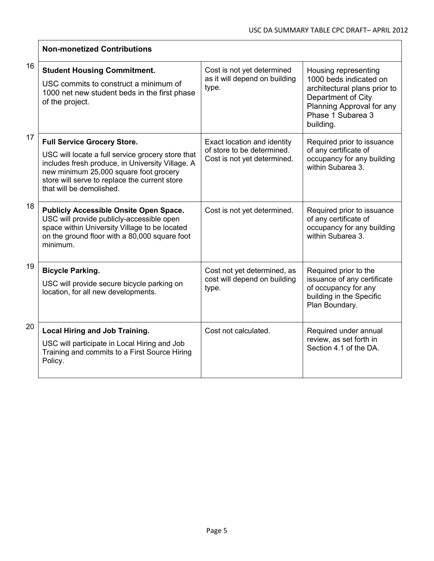|    | <b>Non-monetized Contributions</b>                                                                                                                                                                                                                                 |                                                                                          |                                                                                                                                                                     |
|----|--------------------------------------------------------------------------------------------------------------------------------------------------------------------------------------------------------------------------------------------------------------------|------------------------------------------------------------------------------------------|---------------------------------------------------------------------------------------------------------------------------------------------------------------------|
| 16 | <b>Student Housing Commitment.</b><br>USC commits to construct a minimum of<br>1000 net new student beds in the first phase<br>of the project.                                                                                                                     | Cost is not yet determined<br>as it will depend on building<br>type.                     | Housing representing<br>1000 beds indicated on<br>architectural plans prior to<br>Department of City<br>Planning Approval for any<br>Phase 1 Subarea 3<br>building. |
| 17 | <b>Full Service Grocery Store.</b><br>USC will locate a full service grocery store that<br>includes fresh produce, in University Village. A<br>new minimum 25,000 square foot grocery<br>store will serve to replace the current store<br>that will be demolished. | Exact location and identity<br>of store to be determined.<br>Cost is not yet determined. | Required prior to issuance<br>of any certificate of<br>occupancy for any building<br>within Subarea 3.                                                              |
| 18 | <b>Publicly Accessible Onsite Open Space.</b><br>USC will provide publicly-accessible open<br>space within University Village to be located<br>on the ground floor with a 80,000 square foot<br>minimum.                                                           | Cost is not yet determined.                                                              | Required prior to issuance<br>of any certificate of<br>occupancy for any building<br>within Subarea 3.                                                              |
| 19 | <b>Bicycle Parking.</b><br>USC will provide secure bicycle parking on<br>location, for all new developments.                                                                                                                                                       | Cost not yet determined, as<br>cost will depend on building<br>type.                     | Required prior to the<br>issuance of any certificate<br>of occupancy for any<br>building in the Specific<br>Plan Boundary.                                          |
| 20 | <b>Local Hiring and Job Training.</b><br>USC will participate in Local Hiring and Job<br>Training and commits to a First Source Hiring<br>Policy.                                                                                                                  | Cost not calculated.                                                                     | Required under annual<br>review, as set forth in<br>Section 4.1 of the DA.                                                                                          |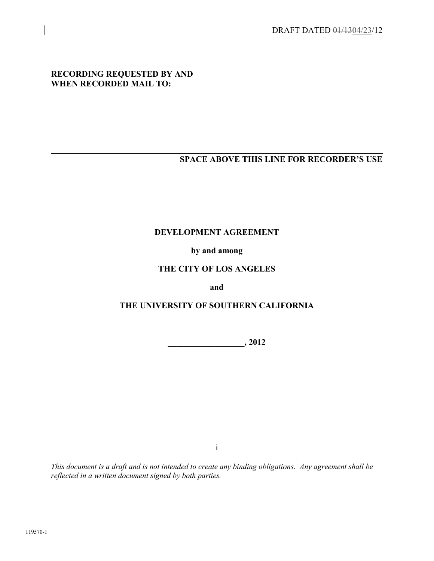DRAFT DATED 01/1304/23/12

#### **RECORDING REQUESTED BY AND WHEN RECORDED MAIL TO:**

# **SPACE ABOVE THIS LINE FOR RECORDER'S USE**

#### **DEVELOPMENT AGREEMENT**

# **by and among**

## **THE CITY OF LOS ANGELES**

#### **and**

# **THE UNIVERSITY OF SOUTHERN CALIFORNIA**

**\_\_\_\_\_\_\_\_\_\_\_\_\_\_\_\_\_\_, 2012** 

i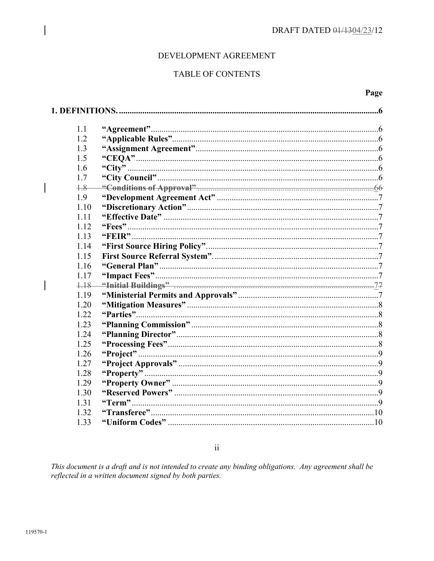#### DEVELOPMENT AGREEMENT

# **TABLE OF CONTENTS**

#### Page

| 1.1  |  |
|------|--|
| 1.2  |  |
| 1.3  |  |
| 1.5  |  |
| 1.6  |  |
| 1.7  |  |
| $+8$ |  |
| 1.9  |  |
| 1.10 |  |
| 1.11 |  |
| 1.12 |  |
| 1.13 |  |
| 1 14 |  |
| 1.15 |  |
| 1.16 |  |
| 1.17 |  |
| 1.18 |  |
| 1.19 |  |
| 1.20 |  |
| 1.22 |  |
| 1.23 |  |
| 1.24 |  |
| 1.25 |  |
| 1.26 |  |
| 1.27 |  |
| 1.28 |  |
| 1.29 |  |
| 1.30 |  |
| 1.31 |  |
| 1.32 |  |
| 1.33 |  |

 $\rm ii$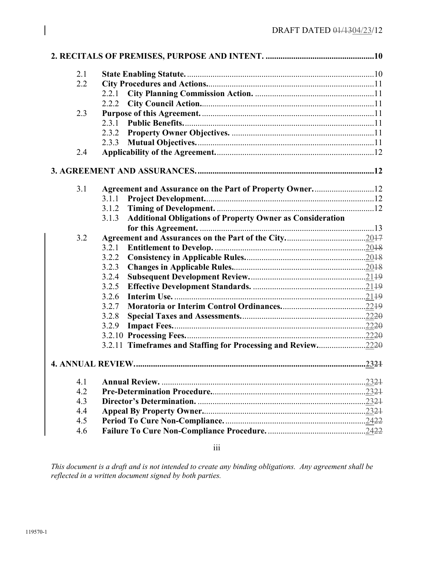| 2.1 |                                                                           |       |
|-----|---------------------------------------------------------------------------|-------|
| 2.2 |                                                                           |       |
|     | 2.2.1                                                                     |       |
|     | 2.2.2                                                                     |       |
| 2.3 |                                                                           |       |
|     | 2.3.1                                                                     |       |
|     |                                                                           |       |
|     |                                                                           |       |
| 2.4 |                                                                           |       |
|     |                                                                           |       |
| 3.1 |                                                                           |       |
|     | 3.1.1                                                                     |       |
|     | 3.1.2                                                                     |       |
|     | <b>Additional Obligations of Property Owner as Consideration</b><br>3.1.3 |       |
|     |                                                                           |       |
| 3.2 |                                                                           |       |
|     | 3.2.1                                                                     |       |
|     | 3.2.2                                                                     |       |
|     | 3.2.3                                                                     |       |
|     | 3.2.4                                                                     |       |
|     | 3.2.5                                                                     |       |
|     | 3.2.6                                                                     |       |
|     | 3.2.7                                                                     |       |
|     | 3.2.8                                                                     |       |
|     | 3.2.9                                                                     |       |
|     |                                                                           |       |
|     | 3.2.11 Timeframes and Staffing for Processing and Review2220              |       |
|     |                                                                           |       |
| 4.1 |                                                                           | .2324 |
| 4.2 |                                                                           |       |
| 4.3 |                                                                           |       |
| 4.4 |                                                                           |       |
| 4.5 |                                                                           |       |
| 4.6 |                                                                           |       |

iii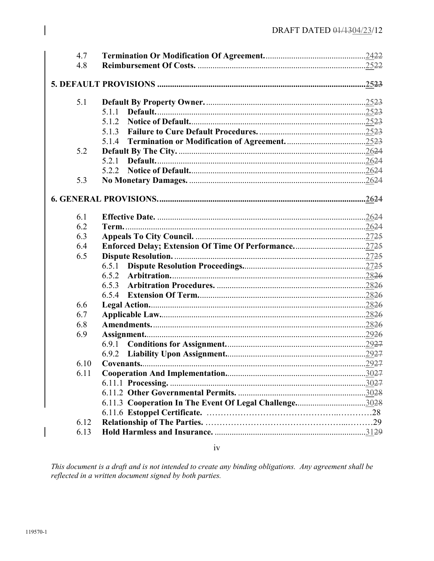| 4.7  |       |       |
|------|-------|-------|
| 4.8  |       |       |
|      |       |       |
|      |       | .2523 |
|      |       |       |
| 5.1  |       |       |
|      | 5.1.1 |       |
|      | 5.1.2 |       |
|      | 5.1.3 |       |
|      | 5.1.4 |       |
| 5.2  |       |       |
|      | 5.2.1 |       |
|      | 5.2.2 |       |
| 5.3  |       |       |
|      |       |       |
|      |       |       |
| 6.1  |       |       |
| 6.2  |       |       |
| 6.3  |       |       |
| 6.4  |       |       |
| 6.5  |       |       |
|      | 6.5.1 |       |
|      | 6.5.2 |       |
|      | 6.5.3 |       |
|      | 6.5.4 |       |
| 6.6  |       |       |
| 6.7  |       |       |
| 6.8  |       |       |
| 6.9  |       |       |
|      | 6.9.1 |       |
|      | 6.9.2 |       |
| 6.10 |       |       |
| 6.11 |       |       |
|      |       |       |
|      |       |       |
|      |       |       |
|      |       |       |
| 6.12 |       |       |
| 6.13 |       |       |
|      |       |       |

 $iv$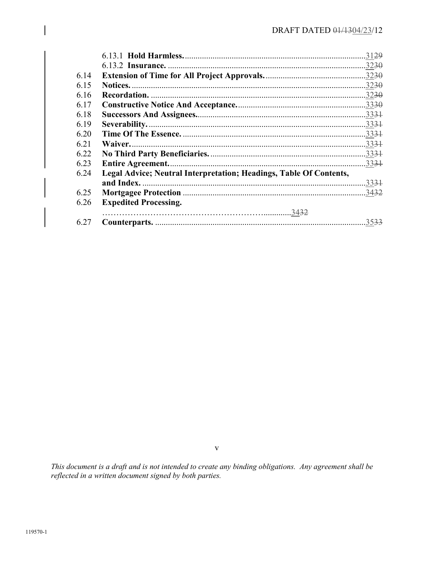|      |                                                                    | 3129             |
|------|--------------------------------------------------------------------|------------------|
|      | 6.13.2 Insurance.                                                  | .3230            |
| 6.14 |                                                                    | .3230            |
| 6.15 |                                                                    | .3230            |
| 6.16 | Recordation.                                                       | .3230            |
| 6.17 |                                                                    | .3330            |
| 6.18 |                                                                    |                  |
| 6.19 |                                                                    |                  |
| 6.20 |                                                                    |                  |
| 6.21 | Waiver.                                                            | $.333 +$         |
| 6.22 |                                                                    | 33 <del>31</del> |
| 6.23 | <b>Entire Agreement.</b>                                           | $.333 +$         |
| 6.24 | Legal Advice; Neutral Interpretation; Headings, Table Of Contents, |                  |
|      | and Index.                                                         | 3331             |
| 6.25 |                                                                    | .3432            |
| 6.26 | <b>Expedited Processing.</b>                                       |                  |
|      |                                                                    |                  |
| 6.27 |                                                                    | 35 <del>33</del> |

 $\mathbf V$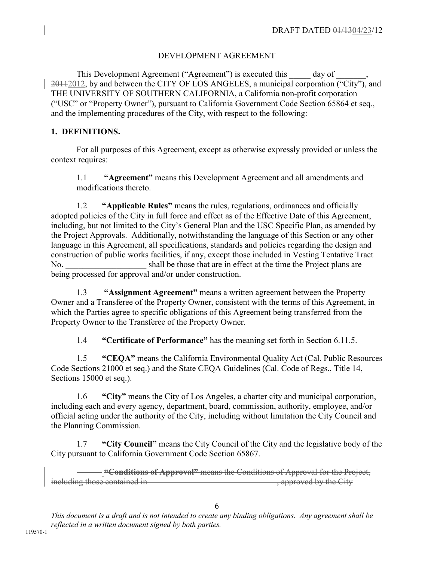# DEVELOPMENT AGREEMENT

This Development Agreement ("Agreement") is executed this day of  $20112012$ , by and between the CITY OF LOS ANGELES, a municipal corporation  $\overline{("City")}$ , and THE UNIVERSITY OF SOUTHERN CALIFORNIA, a California non-profit corporation ("USC" or "Property Owner"), pursuant to California Government Code Section 65864 et seq., and the implementing procedures of the City, with respect to the following:

## **1. DEFINITIONS.**

For all purposes of this Agreement, except as otherwise expressly provided or unless the context requires:

1.1 **"Agreement"** means this Development Agreement and all amendments and modifications thereto.

1.2 **"Applicable Rules"** means the rules, regulations, ordinances and officially adopted policies of the City in full force and effect as of the Effective Date of this Agreement, including, but not limited to the City's General Plan and the USC Specific Plan, as amended by the Project Approvals. Additionally, notwithstanding the language of this Section or any other language in this Agreement, all specifications, standards and policies regarding the design and construction of public works facilities, if any, except those included in Vesting Tentative Tract No. Shall be those that are in effect at the time the Project plans are being processed for approval and/or under construction.

1.3 **"Assignment Agreement"** means a written agreement between the Property Owner and a Transferee of the Property Owner, consistent with the terms of this Agreement, in which the Parties agree to specific obligations of this Agreement being transferred from the Property Owner to the Transferee of the Property Owner.

1.4 **"Certificate of Performance"** has the meaning set forth in Section 6.11.5.

1.5 **"CEQA"** means the California Environmental Quality Act (Cal. Public Resources Code Sections 21000 et seq.) and the State CEQA Guidelines (Cal. Code of Regs., Title 14, Sections 15000 et seq.).

1.6 **"City"** means the City of Los Angeles, a charter city and municipal corporation, including each and every agency, department, board, commission, authority, employee, and/or official acting under the authority of the City, including without limitation the City Council and the Planning Commission.

1.7 **"City Council"** means the City Council of the City and the legislative body of the City pursuant to California Government Code Section 65867.

**"Conditions of Approval"** means the Conditions of Approval for the Project, including those contained in  $\overline{a}$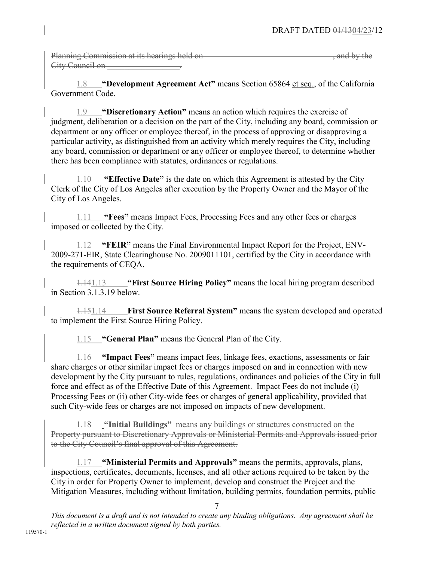| Planning Commission at its hearings held on-    | and by the<br><del>any or any</del> |
|-------------------------------------------------|-------------------------------------|
| $C$ ity Council on<br><del>Uny Council on</del> |                                     |

1.8 **"Development Agreement Act"** means Section 65864 et seq., of the California Government Code.

1.9 **"Discretionary Action"** means an action which requires the exercise of judgment, deliberation or a decision on the part of the City, including any board, commission or department or any officer or employee thereof, in the process of approving or disapproving a particular activity, as distinguished from an activity which merely requires the City, including any board, commission or department or any officer or employee thereof, to determine whether there has been compliance with statutes, ordinances or regulations.

1.10 **"Effective Date"** is the date on which this Agreement is attested by the City Clerk of the City of Los Angeles after execution by the Property Owner and the Mayor of the City of Los Angeles.

1.11 **"Fees"** means Impact Fees, Processing Fees and any other fees or charges imposed or collected by the City.

1.12 **"FEIR"** means the Final Environmental Impact Report for the Project, ENV-2009-271-EIR, State Clearinghouse No. 2009011101, certified by the City in accordance with the requirements of CEQA.

1.141.13 **"First Source Hiring Policy"** means the local hiring program described in Section 3.1.3.19 below.

1.151.14 **First Source Referral System"** means the system developed and operated to implement the First Source Hiring Policy.

1.15 **"General Plan"** means the General Plan of the City.

1.16 **"Impact Fees"** means impact fees, linkage fees, exactions, assessments or fair share charges or other similar impact fees or charges imposed on and in connection with new development by the City pursuant to rules, regulations, ordinances and policies of the City in full force and effect as of the Effective Date of this Agreement. Impact Fees do not include (i) Processing Fees or (ii) other City-wide fees or charges of general applicability, provided that such City-wide fees or charges are not imposed on impacts of new development.

1.18 **"Initial Buildings"** means any buildings or structures constructed on the Property pursuant to Discretionary Approvals or Ministerial Permits and Approvals issued prior to the City Council's final approval of this Agreement.

1.17 **"Ministerial Permits and Approvals"** means the permits, approvals, plans, inspections, certificates, documents, licenses, and all other actions required to be taken by the City in order for Property Owner to implement, develop and construct the Project and the Mitigation Measures, including without limitation, building permits, foundation permits, public

7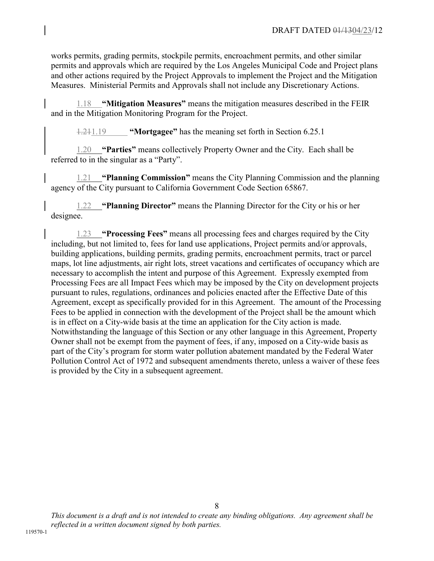works permits, grading permits, stockpile permits, encroachment permits, and other similar permits and approvals which are required by the Los Angeles Municipal Code and Project plans and other actions required by the Project Approvals to implement the Project and the Mitigation Measures. Ministerial Permits and Approvals shall not include any Discretionary Actions.

1.18 **"Mitigation Measures"** means the mitigation measures described in the FEIR and in the Mitigation Monitoring Program for the Project.

1.211.19 **"Mortgagee"** has the meaning set forth in Section 6.25.1

1.20 **"Parties"** means collectively Property Owner and the City. Each shall be referred to in the singular as a "Party".

1.21 **"Planning Commission"** means the City Planning Commission and the planning agency of the City pursuant to California Government Code Section 65867.

1.22 **"Planning Director"** means the Planning Director for the City or his or her designee.

1.23 **"Processing Fees"** means all processing fees and charges required by the City including, but not limited to, fees for land use applications, Project permits and/or approvals, building applications, building permits, grading permits, encroachment permits, tract or parcel maps, lot line adjustments, air right lots, street vacations and certificates of occupancy which are necessary to accomplish the intent and purpose of this Agreement. Expressly exempted from Processing Fees are all Impact Fees which may be imposed by the City on development projects pursuant to rules, regulations, ordinances and policies enacted after the Effective Date of this Agreement, except as specifically provided for in this Agreement. The amount of the Processing Fees to be applied in connection with the development of the Project shall be the amount which is in effect on a City-wide basis at the time an application for the City action is made. Notwithstanding the language of this Section or any other language in this Agreement, Property Owner shall not be exempt from the payment of fees, if any, imposed on a City-wide basis as part of the City's program for storm water pollution abatement mandated by the Federal Water Pollution Control Act of 1972 and subsequent amendments thereto, unless a waiver of these fees is provided by the City in a subsequent agreement.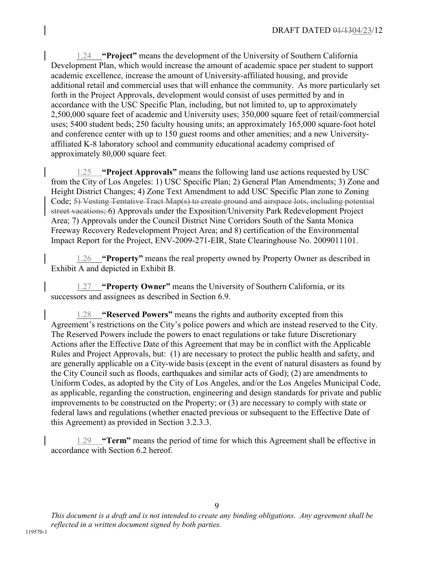1.24 **"Project"** means the development of the University of Southern California Development Plan, which would increase the amount of academic space per student to support academic excellence, increase the amount of University-affiliated housing, and provide additional retail and commercial uses that will enhance the community. As more particularly set forth in the Project Approvals, development would consist of uses permitted by and in accordance with the USC Specific Plan, including, but not limited to, up to approximately 2,500,000 square feet of academic and University uses; 350,000 square feet of retail/commercial uses; 5400 student beds; 250 faculty housing units; an approximately 165,000 square-foot hotel and conference center with up to 150 guest rooms and other amenities; and a new Universityaffiliated K-8 laboratory school and community educational academy comprised of approximately 80,000 square feet.

1.25 **"Project Approvals"** means the following land use actions requested by USC from the City of Los Angeles: 1) USC Specific Plan; 2) General Plan Amendments; 3) Zone and Height District Changes; 4) Zone Text Amendment to add USC Specific Plan zone to Zoning Code; 5) Vesting Tentative Tract Map(s) to create ground and airspace lots, including potential street vacations; 6) Approvals under the Exposition/University Park Redevelopment Project Area; 7) Approvals under the Council District Nine Corridors South of the Santa Monica Freeway Recovery Redevelopment Project Area; and 8) certification of the Environmental Impact Report for the Project, ENV-2009-271-EIR, State Clearinghouse No. 2009011101.

1.26 **"Property"** means the real property owned by Property Owner as described in Exhibit A and depicted in Exhibit B.

1.27 **"Property Owner"** means the University of Southern California, or its successors and assignees as described in Section 6.9.

1.28 **"Reserved Powers"** means the rights and authority excepted from this Agreement's restrictions on the City's police powers and which are instead reserved to the City. The Reserved Powers include the powers to enact regulations or take future Discretionary Actions after the Effective Date of this Agreement that may be in conflict with the Applicable Rules and Project Approvals, but: (1) are necessary to protect the public health and safety, and are generally applicable on a City-wide basis (except in the event of natural disasters as found by the City Council such as floods, earthquakes and similar acts of God); (2) are amendments to Uniform Codes, as adopted by the City of Los Angeles, and/or the Los Angeles Municipal Code, as applicable, regarding the construction, engineering and design standards for private and public improvements to be constructed on the Property; or (3) are necessary to comply with state or federal laws and regulations (whether enacted previous or subsequent to the Effective Date of this Agreement) as provided in Section 3.2.3.3.

1.29 **"Term"** means the period of time for which this Agreement shall be effective in accordance with Section 6.2 hereof.

9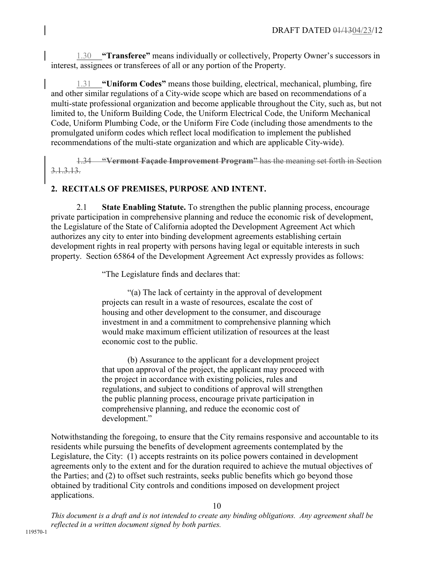1.30 **"Transferee"** means individually or collectively, Property Owner's successors in interest, assignees or transferees of all or any portion of the Property.

1.31 **"Uniform Codes"** means those building, electrical, mechanical, plumbing, fire and other similar regulations of a City-wide scope which are based on recommendations of a multi-state professional organization and become applicable throughout the City, such as, but not limited to, the Uniform Building Code, the Uniform Electrical Code, the Uniform Mechanical Code, Uniform Plumbing Code, or the Uniform Fire Code (including those amendments to the promulgated uniform codes which reflect local modification to implement the published recommendations of the multi-state organization and which are applicable City-wide).

1.34 **"Vermont Façade Improvement Program"** has the meaning set forth in Section 3.1.3.13.

# **2. RECITALS OF PREMISES, PURPOSE AND INTENT.**

2.1 **State Enabling Statute.** To strengthen the public planning process, encourage private participation in comprehensive planning and reduce the economic risk of development, the Legislature of the State of California adopted the Development Agreement Act which authorizes any city to enter into binding development agreements establishing certain development rights in real property with persons having legal or equitable interests in such property. Section 65864 of the Development Agreement Act expressly provides as follows:

"The Legislature finds and declares that:

"(a) The lack of certainty in the approval of development projects can result in a waste of resources, escalate the cost of housing and other development to the consumer, and discourage investment in and a commitment to comprehensive planning which would make maximum efficient utilization of resources at the least economic cost to the public.

(b) Assurance to the applicant for a development project that upon approval of the project, the applicant may proceed with the project in accordance with existing policies, rules and regulations, and subject to conditions of approval will strengthen the public planning process, encourage private participation in comprehensive planning, and reduce the economic cost of development."

Notwithstanding the foregoing, to ensure that the City remains responsive and accountable to its residents while pursuing the benefits of development agreements contemplated by the Legislature, the City: (1) accepts restraints on its police powers contained in development agreements only to the extent and for the duration required to achieve the mutual objectives of the Parties; and (2) to offset such restraints, seeks public benefits which go beyond those obtained by traditional City controls and conditions imposed on development project applications.

10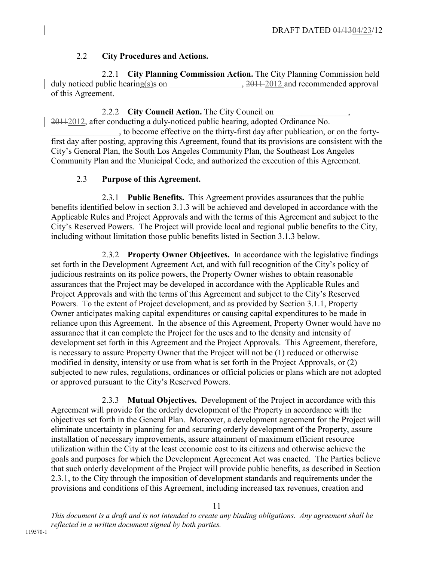# 2.2 **City Procedures and Actions.**

2.2.1 **City Planning Commission Action.** The City Planning Commission held duly noticed public hearing(s)s on  $, 2011 - 2012$  and recommended approval of this Agreement.

2.2.2 **City Council Action.** The City Council on 20112012, after conducting a duly-noticed public hearing, adopted Ordinance No.

\_\_\_\_\_\_\_\_\_\_\_\_\_\_\_\_, to become effective on the thirty-first day after publication, or on the fortyfirst day after posting, approving this Agreement, found that its provisions are consistent with the City's General Plan, the South Los Angeles Community Plan, the Southeast Los Angeles Community Plan and the Municipal Code, and authorized the execution of this Agreement.

# 2.3 **Purpose of this Agreement.**

2.3.1 **Public Benefits.** This Agreement provides assurances that the public benefits identified below in section 3.1.3 will be achieved and developed in accordance with the Applicable Rules and Project Approvals and with the terms of this Agreement and subject to the City's Reserved Powers. The Project will provide local and regional public benefits to the City, including without limitation those public benefits listed in Section 3.1.3 below.

2.3.2 **Property Owner Objectives.** In accordance with the legislative findings set forth in the Development Agreement Act, and with full recognition of the City's policy of judicious restraints on its police powers, the Property Owner wishes to obtain reasonable assurances that the Project may be developed in accordance with the Applicable Rules and Project Approvals and with the terms of this Agreement and subject to the City's Reserved Powers. To the extent of Project development, and as provided by Section 3.1.1, Property Owner anticipates making capital expenditures or causing capital expenditures to be made in reliance upon this Agreement. In the absence of this Agreement, Property Owner would have no assurance that it can complete the Project for the uses and to the density and intensity of development set forth in this Agreement and the Project Approvals. This Agreement, therefore, is necessary to assure Property Owner that the Project will not be (1) reduced or otherwise modified in density, intensity or use from what is set forth in the Project Approvals, or (2) subjected to new rules, regulations, ordinances or official policies or plans which are not adopted or approved pursuant to the City's Reserved Powers.

2.3.3 **Mutual Objectives.** Development of the Project in accordance with this Agreement will provide for the orderly development of the Property in accordance with the objectives set forth in the General Plan. Moreover, a development agreement for the Project will eliminate uncertainty in planning for and securing orderly development of the Property, assure installation of necessary improvements, assure attainment of maximum efficient resource utilization within the City at the least economic cost to its citizens and otherwise achieve the goals and purposes for which the Development Agreement Act was enacted. The Parties believe that such orderly development of the Project will provide public benefits, as described in Section 2.3.1, to the City through the imposition of development standards and requirements under the provisions and conditions of this Agreement, including increased tax revenues, creation and

11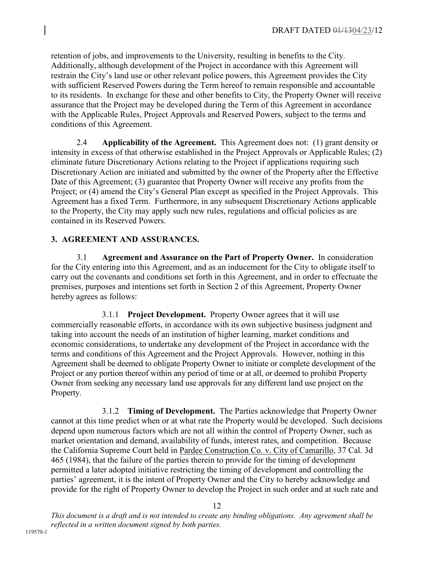retention of jobs, and improvements to the University, resulting in benefits to the City. Additionally, although development of the Project in accordance with this Agreement will restrain the City's land use or other relevant police powers, this Agreement provides the City with sufficient Reserved Powers during the Term hereof to remain responsible and accountable to its residents. In exchange for these and other benefits to City, the Property Owner will receive assurance that the Project may be developed during the Term of this Agreement in accordance with the Applicable Rules, Project Approvals and Reserved Powers, subject to the terms and conditions of this Agreement.

2.4 **Applicability of the Agreement.** This Agreement does not: (1) grant density or intensity in excess of that otherwise established in the Project Approvals or Applicable Rules; (2) eliminate future Discretionary Actions relating to the Project if applications requiring such Discretionary Action are initiated and submitted by the owner of the Property after the Effective Date of this Agreement; (3) guarantee that Property Owner will receive any profits from the Project; or (4) amend the City's General Plan except as specified in the Project Approvals. This Agreement has a fixed Term. Furthermore, in any subsequent Discretionary Actions applicable to the Property, the City may apply such new rules, regulations and official policies as are contained in its Reserved Powers.

# **3. AGREEMENT AND ASSURANCES.**

3.1 **Agreement and Assurance on the Part of Property Owner.** In consideration for the City entering into this Agreement, and as an inducement for the City to obligate itself to carry out the covenants and conditions set forth in this Agreement, and in order to effectuate the premises, purposes and intentions set forth in Section 2 of this Agreement, Property Owner hereby agrees as follows:

3.1.1 **Project Development.** Property Owner agrees that it will use commercially reasonable efforts, in accordance with its own subjective business judgment and taking into account the needs of an institution of higher learning, market conditions and economic considerations, to undertake any development of the Project in accordance with the terms and conditions of this Agreement and the Project Approvals. However, nothing in this Agreement shall be deemed to obligate Property Owner to initiate or complete development of the Project or any portion thereof within any period of time or at all, or deemed to prohibit Property Owner from seeking any necessary land use approvals for any different land use project on the Property.

3.1.2 **Timing of Development.** The Parties acknowledge that Property Owner cannot at this time predict when or at what rate the Property would be developed. Such decisions depend upon numerous factors which are not all within the control of Property Owner, such as market orientation and demand, availability of funds, interest rates, and competition. Because the California Supreme Court held in Pardee Construction Co. v. City of Camarillo, 37 Cal. 3d 465 (1984), that the failure of the parties therein to provide for the timing of development permitted a later adopted initiative restricting the timing of development and controlling the parties' agreement, it is the intent of Property Owner and the City to hereby acknowledge and provide for the right of Property Owner to develop the Project in such order and at such rate and

12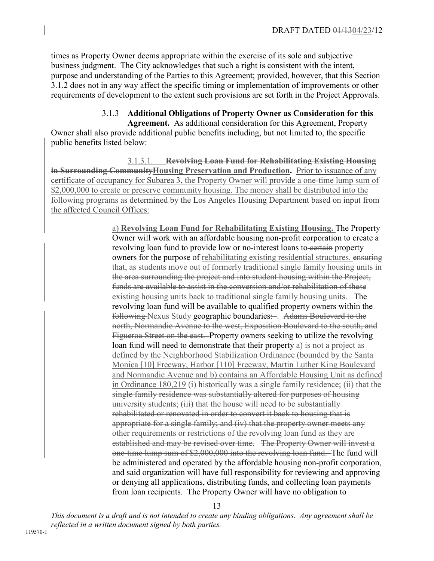times as Property Owner deems appropriate within the exercise of its sole and subjective business judgment. The City acknowledges that such a right is consistent with the intent, purpose and understanding of the Parties to this Agreement; provided, however, that this Section 3.1.2 does not in any way affect the specific timing or implementation of improvements or other requirements of development to the extent such provisions are set forth in the Project Approvals.

# 3.1.3 **Additional Obligations of Property Owner as Consideration for this**

**Agreement.** As additional consideration for this Agreement, Property Owner shall also provide additional public benefits including, but not limited to, the specific public benefits listed below:

3.1.3.1. **Revolving Loan Fund for Rehabilitating Existing Housing in Surrounding Community Housing Preservation and Production.** Prior to issuance of any certificate of occupancy for Subarea 3, the Property Owner will provide a one-time lump sum of \$2,000,000 to create or preserve community housing. The money shall be distributed into the following programs as determined by the Los Angeles Housing Department based on input from the affected Council Offices:

> a) **Revolving Loan Fund for Rehabilitating Existing Housing.** The Property Owner will work with an affordable housing non-profit corporation to create a revolving loan fund to provide low or no-interest loans to eertain property owners for the purpose of rehabilitating existing residential structures. ensuring that, as students move out of formerly traditional single family housing units in the area surrounding the project and into student housing within the Project, funds are available to assist in the conversion and/or rehabilitation of these existing housing units back to traditional single family housing units. The revolving loan fund will be available to qualified property owners within the following Nexus Study geographic boundaries: . Adams Boulevard to the north, Normandie Avenue to the west, Exposition Boulevard to the south, and Figueroa Street on the east. Property owners seeking to utilize the revolving loan fund will need to demonstrate that their property a) is not a project as defined by the Neighborhood Stabilization Ordinance (bounded by the Santa Monica [10] Freeway, Harbor [110] Freeway, Martin Luther King Boulevard and Normandie Avenue and b) contains an Affordable Housing Unit as defined in Ordinance 180,219 (i) historically was a single family residence; (ii) that the single family residence was substantially altered for purposes of housing university students; (iii) that the house will need to be substantially rehabilitated or renovated in order to convert it back to housing that is appropriate for a single family; and (iv) that the property owner meets any other requirements or restrictions of the revolving loan fund as they are established and may be revised over time. The Property Owner will invest a one-time lump sum of \$2,000,000 into the revolving loan fund. The fund will be administered and operated by the affordable housing non-profit corporation, and said organization will have full responsibility for reviewing and approving or denying all applications, distributing funds, and collecting loan payments from loan recipients. The Property Owner will have no obligation to

> > 13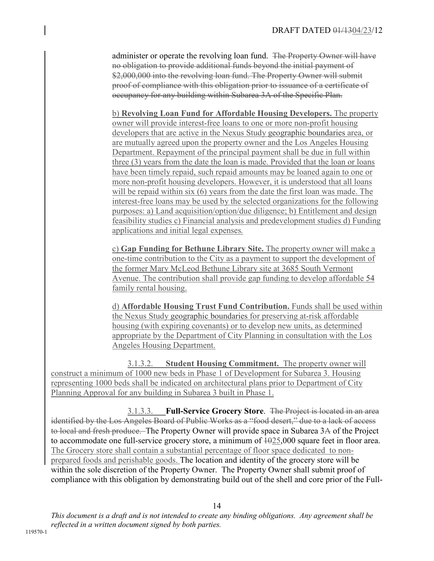administer or operate the revolving loan fund. The Property Owner will have no obligation to provide additional funds beyond the initial payment of \$2,000,000 into the revolving loan fund. The Property Owner will submit proof of compliance with this obligation prior to issuance of a certificate of occupancy for any building within Subarea 3A of the Specific Plan.

b) **Revolving Loan Fund for Affordable Housing Developers.** The property owner will provide interest-free loans to one or more non-profit housing developers that are active in the Nexus Study geographic boundaries area, or are mutually agreed upon the property owner and the Los Angeles Housing Department. Repayment of the principal payment shall be due in full within three (3) years from the date the loan is made. Provided that the loan or loans have been timely repaid, such repaid amounts may be loaned again to one or more non-profit housing developers. However, it is understood that all loans will be repaid within six (6) years from the date the first loan was made. The interest-free loans may be used by the selected organizations for the following purposes: a) Land acquisition/option/due diligence; b) Entitlement and design feasibility studies c) Financial analysis and predevelopment studies d) Funding applications and initial legal expenses*.*

c) **Gap Funding for Bethune Library Site.** The property owner will make a one-time contribution to the City as a payment to support the development of the former Mary McLeod Bethune Library site at 3685 South Vermont Avenue. The contribution shall provide gap funding to develop affordable 54 family rental housing.

d) **Affordable Housing Trust Fund Contribution.** Funds shall be used within the Nexus Study geographic boundaries for preserving at-risk affordable housing (with expiring covenants) or to develop new units, as determined appropriate by the Department of City Planning in consultation with the Los Angeles Housing Department.

3.1.3.2. **Student Housing Commitment.** The property owner will construct a minimum of 1000 new beds in Phase 1 of Development for Subarea 3. Housing representing 1000 beds shall be indicated on architectural plans prior to Department of City Planning Approval for any building in Subarea 3 built in Phase 1.

3.1.3.3. **Full-Service Grocery Store**. The Project is located in an area identified by the Los Angeles Board of Public Works as a "food desert," due to a lack of access to local and fresh produce. The Property Owner will provide space in Subarea 3A of the Project to accommodate one full-service grocery store, a minimum of 1025,000 square feet in floor area. The Grocery store shall contain a substantial percentage of floor space dedicated to nonprepared foods and perishable goods. The location and identity of the grocery store will be within the sole discretion of the Property Owner. The Property Owner shall submit proof of compliance with this obligation by demonstrating build out of the shell and core prior of the Full-

14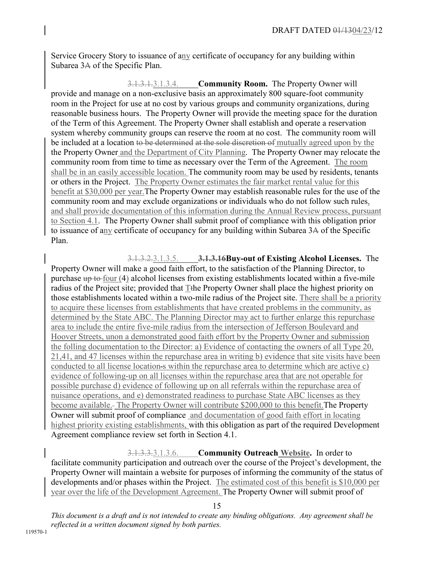Service Grocery Story to issuance of any certificate of occupancy for any building within Subarea 3A of the Specific Plan.

3.1.3.1.3.1.3.4. **Community Room.** The Property Owner will provide and manage on a non-exclusive basis an approximately 800 square-foot community room in the Project for use at no cost by various groups and community organizations, during reasonable business hours. The Property Owner will provide the meeting space for the duration of the Term of this Agreement. The Property Owner shall establish and operate a reservation system whereby community groups can reserve the room at no cost. The community room will be included at a location to be determined at the sole discretion of mutually agreed upon by the the Property Owner and the Department of City Planning. The Property Owner may relocate the community room from time to time as necessary over the Term of the Agreement. The room shall be in an easily accessible location. The community room may be used by residents, tenants or others in the Project. The Property Owner estimates the fair market rental value for this benefit at \$30,000 per year.The Property Owner may establish reasonable rules for the use of the community room and may exclude organizations or individuals who do not follow such rules, and shall provide documentation of this information during the Annual Review process, pursuant to Section 4.1. The Property Owner shall submit proof of compliance with this obligation prior to issuance of any certificate of occupancy for any building within Subarea 3A of the Specific Plan.

#### 3.1.3.2.3.1.3.5. **3.1.3.16Buy-out of Existing Alcohol Licenses.** The

Property Owner will make a good faith effort, to the satisfaction of the Planning Director, to purchase up to four (4) alcohol licenses from existing establishments located within a five-mile radius of the Project site; provided that T<sub>the</sub> Property Owner shall place the highest priority on those establishments located within a two-mile radius of the Project site. There shall be a priority to acquire these licenses from establishments that have created problems in the community, as determined by the State ABC. The Planning Director may act to further enlarge this repurchase area to include the entire five-mile radius from the intersection of Jefferson Boulevard and Hoover Streets, unon a demonstrated good faith effort by the Property Owner and submission the folling documentation to the Director: a) Evidence of contacting the owners of all Type 20, 21,41, and 47 licenses within the repurchase area in writing b) evidence that site visits have been conducted to all license location s within the repurchase area to determine which are active c) evidence of following-up on all licenses within the repurchase area that are not operable for possible purchase d) evidence of following up on all referrals within the repurchase area of nuisance operations, and e) demonstrated readiness to purchase State ABC licenses as they become available. The Property Owner will contribute \$200,000 to this benefit.The Property Owner will submit proof of compliance and documentation of good faith effort in locating highest priority existing establishments, with this obligation as part of the required Development Agreement compliance review set forth in Section 4.1.

3.1.3.3.3.1.3.6. **Community Outreach Website.** In order to facilitate community participation and outreach over the course of the Project's development, the Property Owner will maintain a website for purposes of informing the community of the status of developments and/or phases within the Project. The estimated cost of this benefit is \$10,000 per year over the life of the Development Agreement. The Property Owner will submit proof of

15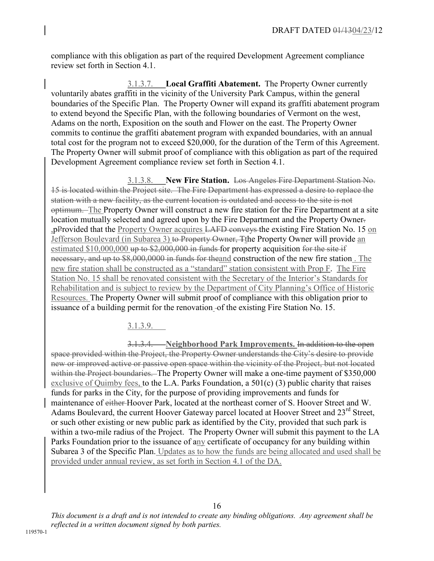compliance with this obligation as part of the required Development Agreement compliance review set forth in Section 4.1.

3.1.3.7. **Local Graffiti Abatement.** The Property Owner currently voluntarily abates graffiti in the vicinity of the University Park Campus, within the general boundaries of the Specific Plan. The Property Owner will expand its graffiti abatement program to extend beyond the Specific Plan, with the following boundaries of Vermont on the west, Adams on the north, Exposition on the south and Flower on the east. The Property Owner commits to continue the graffiti abatement program with expanded boundaries, with an annual total cost for the program not to exceed \$20,000, for the duration of the Term of this Agreement. The Property Owner will submit proof of compliance with this obligation as part of the required Development Agreement compliance review set forth in Section 4.1.

3.1.3.8. **New Fire Station.** Los Angeles Fire Department Station No. 15 is located within the Project site. The Fire Department has expressed a desire to replace the station with a new facility, as the current location is outdated and access to the site is not optimum. The Property Owner will construct a new fire station for the Fire Department at a site location mutually selected and agreed upon by the Fire Department and the Property Owner. ,pProvided that the Property Owner acquires LAFD conveys the existing Fire Station No. 15 on Jefferson Boulevard (in Subarea 3) to Property Owner, Tthe Property Owner will provide an estimated  $$10,000,000$  up to  $$2,000,000$  in funds for property acquisition for the site if necessary, and up to \$8,000,0000 in funds for the and construction of the new fire station. The new fire station shall be constructed as a "standard" station consistent with Prop F. The Fire Station No. 15 shall be renovated consistent with the Secretary of the Interior's Standards for Rehabilitation and is subject to review by the Department of City Planning's Office of Historic Resources. The Property Owner will submit proof of compliance with this obligation prior to issuance of a building permit for the renovation of the existing Fire Station No. 15.

3.1.3.9.

3.1.3.4. **Neighborhood Park Improvements.** In addition to the open space provided within the Project, the Property Owner understands the City's desire to provide new or improved active or passive open space within the vicinity of the Project, but not located within the Project boundaries. The Property Owner will make a one-time payment of \$350,000 exclusive of Quimby fees, to the L.A. Parks Foundation, a 501(c) (3) public charity that raises funds for parks in the City, for the purpose of providing improvements and funds for maintenance of either Hoover Park, located at the northeast corner of S. Hoover Street and W. Adams Boulevard, the current Hoover Gateway parcel located at Hoover Street and 23<sup>rd</sup> Street, or such other existing or new public park as identified by the City, provided that such park is within a two-mile radius of the Project. The Property Owner will submit this payment to the LA Parks Foundation prior to the issuance of any certificate of occupancy for any building within Subarea 3 of the Specific Plan. Updates as to how the funds are being allocated and used shall be provided under annual review, as set forth in Section 4.1 of the DA.

16

*This document is a draft and is not intended to create any binding obligations. Any agreement shall be reflected in a written document signed by both parties.*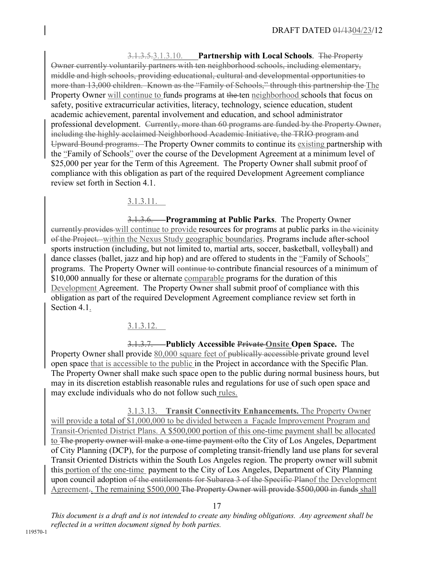3.1.3.5.3.1.3.10. **Partnership with Local Schools**. The Property Owner currently voluntarily partners with ten neighborhood schools, including elementary, middle and high schools, providing educational, cultural and developmental opportunities to more than 13,000 children. Known as the "Family of Schools," through this partnership the The Property Owner will continue to funds programs at the ten neighborhood schools that focus on safety, positive extracurricular activities, literacy, technology, science education, student academic achievement, parental involvement and education, and school administrator professional development. Currently, more than 60 programs are funded by the Property Owner, including the highly acclaimed Neighborhood Academic Initiative, the TRIO program and Upward Bound programs. The Property Owner commits to continue its existing partnership with the "Family of Schools" over the course of the Development Agreement at a minimum level of \$25,000 per year for the Term of this Agreement. The Property Owner shall submit proof of compliance with this obligation as part of the required Development Agreement compliance review set forth in Section 4.1.

3.1.3.11.

3.1.3.6. **Programming at Public Parks**. The Property Owner currently provides will continue to provide resources for programs at public parks in the vicinity of the Project. within the Nexus Study geographic boundaries. Programs include after-school sports instruction (including, but not limited to, martial arts, soccer, basketball, volleyball) and dance classes (ballet, jazz and hip hop) and are offered to students in the "Family of Schools" programs. The Property Owner will continue to contribute financial resources of a minimum of \$10,000 annually for these or alternate comparable programs for the duration of this Development Agreement. The Property Owner shall submit proof of compliance with this obligation as part of the required Development Agreement compliance review set forth in Section 4.1.

3.1.3.12.

3.1.3.7. **Publicly Accessible Private Onsite Open Space.** The Property Owner shall provide 80,000 square feet of publically accessible private ground level open space that is accessible to the public in the Project in accordance with the Specific Plan. The Property Owner shall make such space open to the public during normal business hours, but may in its discretion establish reasonable rules and regulations for use of such open space and may exclude individuals who do not follow such rules.

3.1.3.13. **Transit Connectivity Enhancements.** The Property Own**e**r will provide a total of \$1,000,000 to be divided between a Façade Improvement Program and Transit-Oriented District Plans. A \$500,000 portion of this one-time payment shall be allocated to The property owner will make a one-time payment ofto the City of Los Angeles, Department of City Planning (DCP), for the purpose of completing transit-friendly land use plans for several Transit Oriented Districts within the South Los Angeles region. The property owner will submit this portion of the one-time payment to the City of Los Angeles, Department of City Planning upon council adoption of the entitlements for Subarea 3 of the Specific Planof the Development Agreement. The remaining \$500,000 The Property Owner will provide \$500,000 in funds shall

17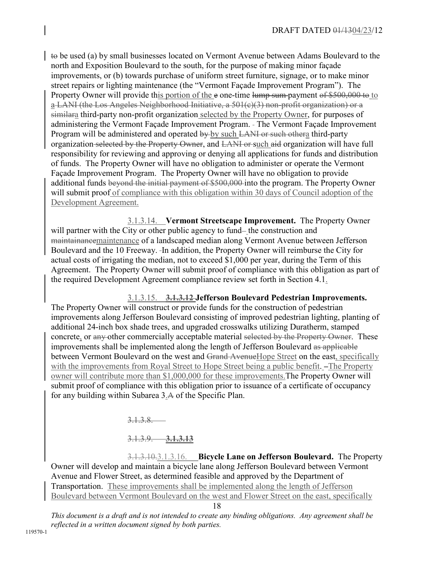to be used (a) by small businesses located on Vermont Avenue between Adams Boulevard to the north and Exposition Boulevard to the south, for the purpose of making minor façade improvements, or (b) towards purchase of uniform street furniture, signage, or to make minor street repairs or lighting maintenance (the "Vermont Façade Improvement Program"). The Property Owner will provide this portion of the e one-time lump sum-payment of \$500,000 to to a LANI (the Los Angeles Neighborhood Initiative, a 501(c)(3) non-profit organization) or a similara third-party non-profit organization selected by the Property Owner, for purposes of administering the Vermont Façade Improvement Program. The Vermont Façade Improvement Program will be administered and operated by by such LANI or such othera third-party organization selected by the Property Owner, and LANI or such aid organization will have full responsibility for reviewing and approving or denying all applications for funds and distribution of funds. The Property Owner will have no obligation to administer or operate the Vermont Façade Improvement Program. The Property Owner will have no obligation to provide additional funds beyond the initial payment of \$500,000 into the program. The Property Owner will submit proof of compliance with this obligation within 30 days of Council adoption of the Development Agreement.

3.1.3.14. **Vermont Streetscape Improvement.** The Property Owner will partner with the City or other public agency to fund-the construction and maintainancemaintenance of a landscaped median along Vermont Avenue between Jefferson Boulevard and the 10 Freeway. In addition, the Property Owner will reimburse the City for actual costs of irrigating the median, not to exceed \$1,000 per year, during the Term of this Agreement. The Property Owner will submit proof of compliance with this obligation as part of the required Development Agreement compliance review set forth in Section 4.1.

3.1.3.15. **3.1.3.12 Jefferson Boulevard Pedestrian Improvements.** The Property Owner will construct or provide funds for the construction of pedestrian improvements along Jefferson Boulevard consisting of improved pedestrian lighting, planting of additional 24-inch box shade trees, and upgraded crosswalks utilizing Duratherm, stamped concrete, or any other commercially acceptable material selected by the Property Owner. These improvements shall be implemented along the length of Jefferson Boulevard as applicable between Vermont Boulevard on the west and Grand Avenue Hope Street on the east, specifically with the improvements from Royal Street to Hope Street being a public benefit.  $-$ The Property owner will contribute more than \$1,000,000 for these improvements.The Property Owner will submit proof of compliance with this obligation prior to issuance of a certificate of occupancy for any building within Subarea 3.A of the Specific Plan.

3.1.3.8.

#### 3.1.3.9. **3.1.3.13**

3.1.3.10.3.1.3.16. **Bicycle Lane on Jefferson Boulevard.** The Property Owner will develop and maintain a bicycle lane along Jefferson Boulevard between Vermont Avenue and Flower Street, as determined feasible and approved by the Department of Transportation. These improvements shall be implemented along the length of Jefferson Boulevard between Vermont Boulevard on the west and Flower Street on the east, specifically

<sup>18</sup>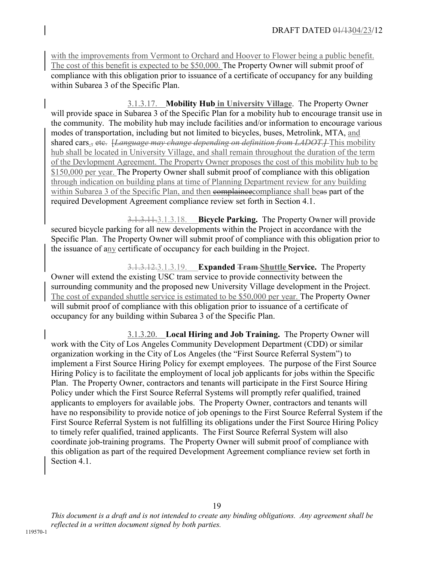with the improvements from Vermont to Orchard and Hoover to Flower being a public benefit. The cost of this benefit is expected to be \$50,000. The Property Owner will submit proof of compliance with this obligation prior to issuance of a certificate of occupancy for any building within Subarea 3 of the Specific Plan.

3.1.3.17. **Mobility Hub in University Village**.The Property Owner will provide space in Subarea 3 of the Specific Plan for a mobility hub to encourage transit use in the community. The mobility hub may include facilities and/or information to encourage various modes of transportation, including but not limited to bicycles, buses, Metrolink, MTA, and shared cars., etc. [*Language may change depending on definition from LADOT.]* This mobility hub shall be located in University Village, and shall remain throughout the duration of the term of the Devlopment Agreement. The Property Owner proposes the cost of this mobility hub to be \$150,000 per year. The Property Owner shall submit proof of compliance with this obligation through indication on building plans at time of Planning Department review for any building within Subarea 3 of the Specific Plan, and then complaince compliance shall beas part of the required Development Agreement compliance review set forth in Section 4.1.

3.1.3.11.3.1.3.18. **Bicycle Parking.** The Property Owner will provide secured bicycle parking for all new developments within the Project in accordance with the Specific Plan. The Property Owner will submit proof of compliance with this obligation prior to the issuance of any certificate of occupancy for each building in the Project.

3.1.3.12.3.1.3.19. **Expanded Tram Shuttle Service.** The Property Owner will extend the existing USC tram service to provide connectivity between the surrounding community and the proposed new University Village development in the Project. The cost of expanded shuttle service is estimated to be \$50,000 per year. The Property Owner will submit proof of compliance with this obligation prior to issuance of a certificate of occupancy for any building within Subarea 3 of the Specific Plan.

3.1.3.20. **Local Hiring and Job Training.** The Property Owner will work with the City of Los Angeles Community Development Department (CDD) or similar organization working in the City of Los Angeles (the "First Source Referral System") to implement a First Source Hiring Policy for exempt employees. The purpose of the First Source Hiring Policy is to facilitate the employment of local job applicants for jobs within the Specific Plan. The Property Owner, contractors and tenants will participate in the First Source Hiring Policy under which the First Source Referral Systems will promptly refer qualified, trained applicants to employers for available jobs. The Property Owner, contractors and tenants will have no responsibility to provide notice of job openings to the First Source Referral System if the First Source Referral System is not fulfilling its obligations under the First Source Hiring Policy to timely refer qualified, trained applicants. The First Source Referral System will also coordinate job-training programs. The Property Owner will submit proof of compliance with this obligation as part of the required Development Agreement compliance review set forth in Section 4.1.

*This document is a draft and is not intended to create any binding obligations. Any agreement shall be reflected in a written document signed by both parties.*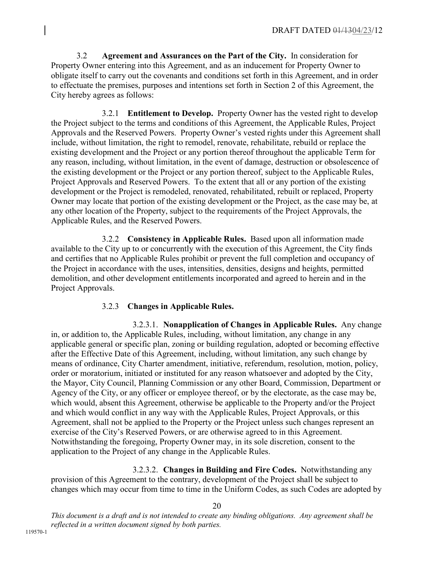3.2 **Agreement and Assurances on the Part of the City.** In consideration for Property Owner entering into this Agreement, and as an inducement for Property Owner to obligate itself to carry out the covenants and conditions set forth in this Agreement, and in order to effectuate the premises, purposes and intentions set forth in Section 2 of this Agreement, the City hereby agrees as follows:

3.2.1 **Entitlement to Develop.** Property Owner has the vested right to develop the Project subject to the terms and conditions of this Agreement, the Applicable Rules, Project Approvals and the Reserved Powers. Property Owner's vested rights under this Agreement shall include, without limitation, the right to remodel, renovate, rehabilitate, rebuild or replace the existing development and the Project or any portion thereof throughout the applicable Term for any reason, including, without limitation, in the event of damage, destruction or obsolescence of the existing development or the Project or any portion thereof, subject to the Applicable Rules, Project Approvals and Reserved Powers. To the extent that all or any portion of the existing development or the Project is remodeled, renovated, rehabilitated, rebuilt or replaced, Property Owner may locate that portion of the existing development or the Project, as the case may be, at any other location of the Property, subject to the requirements of the Project Approvals, the Applicable Rules, and the Reserved Powers.

3.2.2 **Consistency in Applicable Rules.** Based upon all information made available to the City up to or concurrently with the execution of this Agreement, the City finds and certifies that no Applicable Rules prohibit or prevent the full completion and occupancy of the Project in accordance with the uses, intensities, densities, designs and heights, permitted demolition, and other development entitlements incorporated and agreed to herein and in the Project Approvals.

# 3.2.3 **Changes in Applicable Rules.**

3.2.3.1. **Nonapplication of Changes in Applicable Rules.** Any change in, or addition to, the Applicable Rules, including, without limitation, any change in any applicable general or specific plan, zoning or building regulation, adopted or becoming effective after the Effective Date of this Agreement, including, without limitation, any such change by means of ordinance, City Charter amendment, initiative, referendum, resolution, motion, policy, order or moratorium, initiated or instituted for any reason whatsoever and adopted by the City, the Mayor, City Council, Planning Commission or any other Board, Commission, Department or Agency of the City, or any officer or employee thereof, or by the electorate, as the case may be, which would, absent this Agreement, otherwise be applicable to the Property and/or the Project and which would conflict in any way with the Applicable Rules, Project Approvals, or this Agreement, shall not be applied to the Property or the Project unless such changes represent an exercise of the City's Reserved Powers, or are otherwise agreed to in this Agreement. Notwithstanding the foregoing, Property Owner may, in its sole discretion, consent to the application to the Project of any change in the Applicable Rules.

3.2.3.2. **Changes in Building and Fire Codes.** Notwithstanding any provision of this Agreement to the contrary, development of the Project shall be subject to changes which may occur from time to time in the Uniform Codes, as such Codes are adopted by

20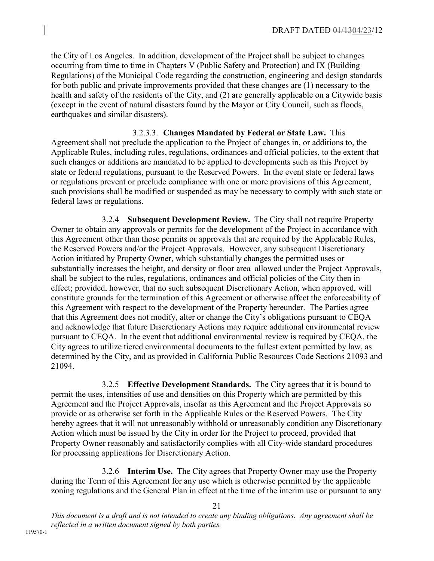the City of Los Angeles. In addition, development of the Project shall be subject to changes occurring from time to time in Chapters V (Public Safety and Protection) and IX (Building Regulations) of the Municipal Code regarding the construction, engineering and design standards for both public and private improvements provided that these changes are (1) necessary to the health and safety of the residents of the City, and (2) are generally applicable on a Citywide basis (except in the event of natural disasters found by the Mayor or City Council, such as floods, earthquakes and similar disasters).

3.2.3.3. **Changes Mandated by Federal or State Law.** This Agreement shall not preclude the application to the Project of changes in, or additions to, the Applicable Rules, including rules, regulations, ordinances and official policies, to the extent that such changes or additions are mandated to be applied to developments such as this Project by state or federal regulations, pursuant to the Reserved Powers. In the event state or federal laws or regulations prevent or preclude compliance with one or more provisions of this Agreement, such provisions shall be modified or suspended as may be necessary to comply with such state or federal laws or regulations.

3.2.4 **Subsequent Development Review.** The City shall not require Property Owner to obtain any approvals or permits for the development of the Project in accordance with this Agreement other than those permits or approvals that are required by the Applicable Rules, the Reserved Powers and/or the Project Approvals. However, any subsequent Discretionary Action initiated by Property Owner, which substantially changes the permitted uses or substantially increases the height, and density or floor area allowed under the Project Approvals, shall be subject to the rules, regulations, ordinances and official policies of the City then in effect; provided, however, that no such subsequent Discretionary Action, when approved, will constitute grounds for the termination of this Agreement or otherwise affect the enforceability of this Agreement with respect to the development of the Property hereunder. The Parties agree that this Agreement does not modify, alter or change the City's obligations pursuant to CEQA and acknowledge that future Discretionary Actions may require additional environmental review pursuant to CEQA. In the event that additional environmental review is required by CEQA, the City agrees to utilize tiered environmental documents to the fullest extent permitted by law, as determined by the City, and as provided in California Public Resources Code Sections 21093 and 21094.

3.2.5 **Effective Development Standards.** The City agrees that it is bound to permit the uses, intensities of use and densities on this Property which are permitted by this Agreement and the Project Approvals, insofar as this Agreement and the Project Approvals so provide or as otherwise set forth in the Applicable Rules or the Reserved Powers. The City hereby agrees that it will not unreasonably withhold or unreasonably condition any Discretionary Action which must be issued by the City in order for the Project to proceed, provided that Property Owner reasonably and satisfactorily complies with all City-wide standard procedures for processing applications for Discretionary Action.

3.2.6 **Interim Use.** The City agrees that Property Owner may use the Property during the Term of this Agreement for any use which is otherwise permitted by the applicable zoning regulations and the General Plan in effect at the time of the interim use or pursuant to any

21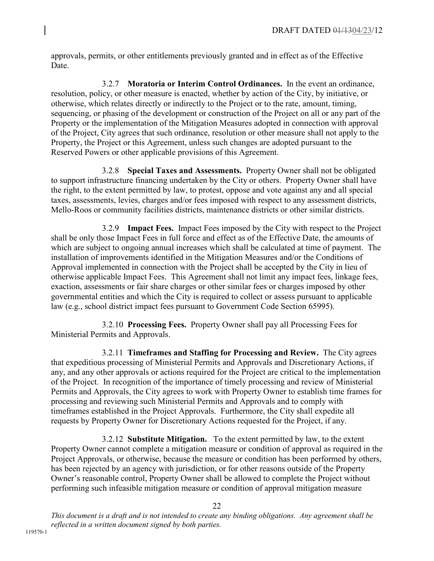approvals, permits, or other entitlements previously granted and in effect as of the Effective Date.

3.2.7 **Moratoria or Interim Control Ordinances.** In the event an ordinance, resolution, policy, or other measure is enacted, whether by action of the City, by initiative, or otherwise, which relates directly or indirectly to the Project or to the rate, amount, timing, sequencing, or phasing of the development or construction of the Project on all or any part of the Property or the implementation of the Mitigation Measures adopted in connection with approval of the Project, City agrees that such ordinance, resolution or other measure shall not apply to the Property, the Project or this Agreement, unless such changes are adopted pursuant to the Reserved Powers or other applicable provisions of this Agreement.

3.2.8 **Special Taxes and Assessments.** Property Owner shall not be obligated to support infrastructure financing undertaken by the City or others. Property Owner shall have the right, to the extent permitted by law, to protest, oppose and vote against any and all special taxes, assessments, levies, charges and/or fees imposed with respect to any assessment districts, Mello-Roos or community facilities districts, maintenance districts or other similar districts.

3.2.9 **Impact Fees.** Impact Fees imposed by the City with respect to the Project shall be only those Impact Fees in full force and effect as of the Effective Date, the amounts of which are subject to ongoing annual increases which shall be calculated at time of payment. The installation of improvements identified in the Mitigation Measures and/or the Conditions of Approval implemented in connection with the Project shall be accepted by the City in lieu of otherwise applicable Impact Fees. This Agreement shall not limit any impact fees, linkage fees, exaction, assessments or fair share charges or other similar fees or charges imposed by other governmental entities and which the City is required to collect or assess pursuant to applicable law (e.g., school district impact fees pursuant to Government Code Section 65995).

3.2.10 **Processing Fees.** Property Owner shall pay all Processing Fees for Ministerial Permits and Approvals.

3.2.11 **Timeframes and Staffing for Processing and Review.** The City agrees that expeditious processing of Ministerial Permits and Approvals and Discretionary Actions, if any, and any other approvals or actions required for the Project are critical to the implementation of the Project. In recognition of the importance of timely processing and review of Ministerial Permits and Approvals, the City agrees to work with Property Owner to establish time frames for processing and reviewing such Ministerial Permits and Approvals and to comply with timeframes established in the Project Approvals. Furthermore, the City shall expedite all requests by Property Owner for Discretionary Actions requested for the Project, if any.

 3.2.12 **Substitute Mitigation.** To the extent permitted by law, to the extent Property Owner cannot complete a mitigation measure or condition of approval as required in the Project Approvals, or otherwise, because the measure or condition has been performed by others, has been rejected by an agency with jurisdiction, or for other reasons outside of the Property Owner's reasonable control, Property Owner shall be allowed to complete the Project without performing such infeasible mitigation measure or condition of approval mitigation measure

22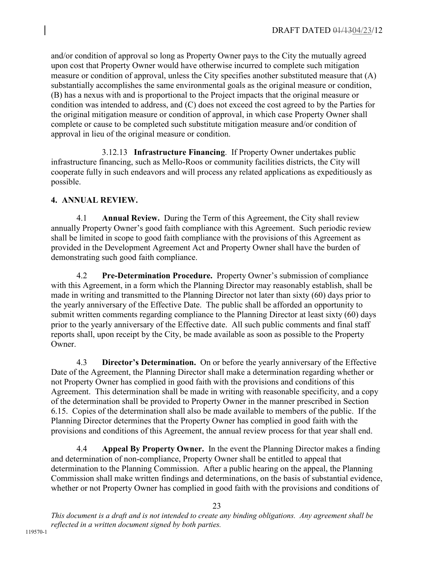and/or condition of approval so long as Property Owner pays to the City the mutually agreed upon cost that Property Owner would have otherwise incurred to complete such mitigation measure or condition of approval, unless the City specifies another substituted measure that (A) substantially accomplishes the same environmental goals as the original measure or condition, (B) has a nexus with and is proportional to the Project impacts that the original measure or condition was intended to address, and (C) does not exceed the cost agreed to by the Parties for the original mitigation measure or condition of approval, in which case Property Owner shall complete or cause to be completed such substitute mitigation measure and/or condition of approval in lieu of the original measure or condition.

 3.12.13 **Infrastructure Financing**. If Property Owner undertakes public infrastructure financing, such as Mello-Roos or community facilities districts, the City will cooperate fully in such endeavors and will process any related applications as expeditiously as possible.

# **4. ANNUAL REVIEW.**

4.1 **Annual Review.** During the Term of this Agreement, the City shall review annually Property Owner's good faith compliance with this Agreement. Such periodic review shall be limited in scope to good faith compliance with the provisions of this Agreement as provided in the Development Agreement Act and Property Owner shall have the burden of demonstrating such good faith compliance.

4.2 **Pre-Determination Procedure.** Property Owner's submission of compliance with this Agreement, in a form which the Planning Director may reasonably establish, shall be made in writing and transmitted to the Planning Director not later than sixty (60) days prior to the yearly anniversary of the Effective Date. The public shall be afforded an opportunity to submit written comments regarding compliance to the Planning Director at least sixty (60) days prior to the yearly anniversary of the Effective date. All such public comments and final staff reports shall, upon receipt by the City, be made available as soon as possible to the Property **Owner** 

4.3 **Director's Determination.** On or before the yearly anniversary of the Effective Date of the Agreement, the Planning Director shall make a determination regarding whether or not Property Owner has complied in good faith with the provisions and conditions of this Agreement. This determination shall be made in writing with reasonable specificity, and a copy of the determination shall be provided to Property Owner in the manner prescribed in Section 6.15. Copies of the determination shall also be made available to members of the public. If the Planning Director determines that the Property Owner has complied in good faith with the provisions and conditions of this Agreement, the annual review process for that year shall end.

4.4 **Appeal By Property Owner.** In the event the Planning Director makes a finding and determination of non-compliance, Property Owner shall be entitled to appeal that determination to the Planning Commission. After a public hearing on the appeal, the Planning Commission shall make written findings and determinations, on the basis of substantial evidence, whether or not Property Owner has complied in good faith with the provisions and conditions of

23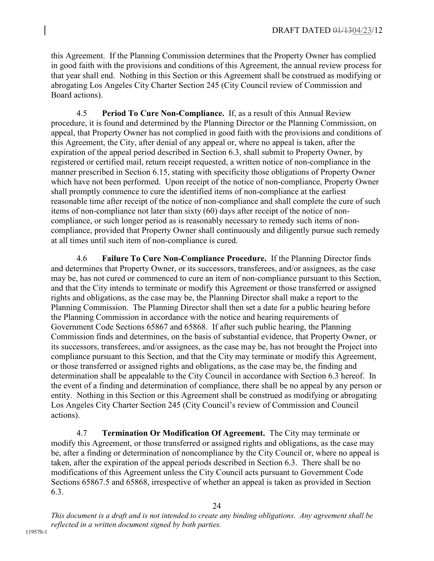this Agreement. If the Planning Commission determines that the Property Owner has complied in good faith with the provisions and conditions of this Agreement, the annual review process for that year shall end. Nothing in this Section or this Agreement shall be construed as modifying or abrogating Los Angeles City Charter Section 245 (City Council review of Commission and Board actions).

4.5 **Period To Cure Non-Compliance.** If, as a result of this Annual Review procedure, it is found and determined by the Planning Director or the Planning Commission, on appeal, that Property Owner has not complied in good faith with the provisions and conditions of this Agreement, the City, after denial of any appeal or, where no appeal is taken, after the expiration of the appeal period described in Section 6.3, shall submit to Property Owner, by registered or certified mail, return receipt requested, a written notice of non-compliance in the manner prescribed in Section 6.15, stating with specificity those obligations of Property Owner which have not been performed. Upon receipt of the notice of non-compliance, Property Owner shall promptly commence to cure the identified items of non-compliance at the earliest reasonable time after receipt of the notice of non-compliance and shall complete the cure of such items of non-compliance not later than sixty (60) days after receipt of the notice of noncompliance, or such longer period as is reasonably necessary to remedy such items of noncompliance, provided that Property Owner shall continuously and diligently pursue such remedy at all times until such item of non-compliance is cured.

4.6 **Failure To Cure Non-Compliance Procedure.** If the Planning Director finds and determines that Property Owner, or its successors, transferees, and/or assignees, as the case may be, has not cured or commenced to cure an item of non-compliance pursuant to this Section, and that the City intends to terminate or modify this Agreement or those transferred or assigned rights and obligations, as the case may be, the Planning Director shall make a report to the Planning Commission. The Planning Director shall then set a date for a public hearing before the Planning Commission in accordance with the notice and hearing requirements of Government Code Sections 65867 and 65868. If after such public hearing, the Planning Commission finds and determines, on the basis of substantial evidence, that Property Owner, or its successors, transferees, and/or assignees, as the case may be, has not brought the Project into compliance pursuant to this Section, and that the City may terminate or modify this Agreement, or those transferred or assigned rights and obligations, as the case may be, the finding and determination shall be appealable to the City Council in accordance with Section 6.3 hereof. In the event of a finding and determination of compliance, there shall be no appeal by any person or entity. Nothing in this Section or this Agreement shall be construed as modifying or abrogating Los Angeles City Charter Section 245 (City Council's review of Commission and Council actions).

4.7 **Termination Or Modification Of Agreement.** The City may terminate or modify this Agreement, or those transferred or assigned rights and obligations, as the case may be, after a finding or determination of noncompliance by the City Council or, where no appeal is taken, after the expiration of the appeal periods described in Section 6.3. There shall be no modifications of this Agreement unless the City Council acts pursuant to Government Code Sections 65867.5 and 65868, irrespective of whether an appeal is taken as provided in Section 6.3.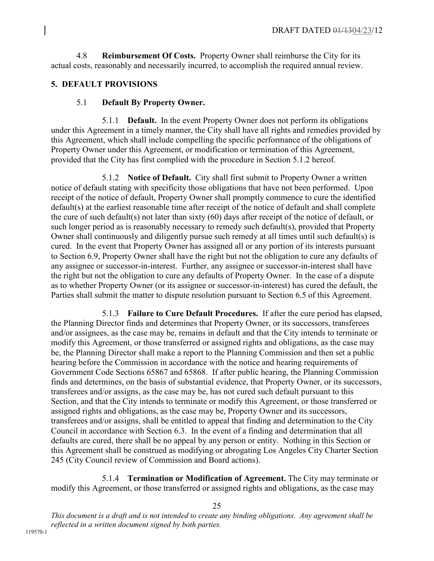4.8 **Reimbursement Of Costs.** Property Owner shall reimburse the City for its actual costs, reasonably and necessarily incurred, to accomplish the required annual review.

# **5. DEFAULT PROVISIONS**

## 5.1 **Default By Property Owner.**

5.1.1 **Default.** In the event Property Owner does not perform its obligations under this Agreement in a timely manner, the City shall have all rights and remedies provided by this Agreement, which shall include compelling the specific performance of the obligations of Property Owner under this Agreement, or modification or termination of this Agreement, provided that the City has first complied with the procedure in Section 5.1.2 hereof.

5.1.2 **Notice of Default.** City shall first submit to Property Owner a written notice of default stating with specificity those obligations that have not been performed. Upon receipt of the notice of default, Property Owner shall promptly commence to cure the identified default(s) at the earliest reasonable time after receipt of the notice of default and shall complete the cure of such default(s) not later than sixty (60) days after receipt of the notice of default, or such longer period as is reasonably necessary to remedy such default(s), provided that Property Owner shall continuously and diligently pursue such remedy at all times until such default(s) is cured. In the event that Property Owner has assigned all or any portion of its interests pursuant to Section 6.9, Property Owner shall have the right but not the obligation to cure any defaults of any assignee or successor-in-interest. Further, any assignee or successor-in-interest shall have the right but not the obligation to cure any defaults of Property Owner. In the case of a dispute as to whether Property Owner (or its assignee or successor-in-interest) has cured the default, the Parties shall submit the matter to dispute resolution pursuant to Section 6.5 of this Agreement.

5.1.3 **Failure to Cure Default Procedures.** If after the cure period has elapsed, the Planning Director finds and determines that Property Owner, or its successors, transferees and/or assignees, as the case may be, remains in default and that the City intends to terminate or modify this Agreement, or those transferred or assigned rights and obligations, as the case may be, the Planning Director shall make a report to the Planning Commission and then set a public hearing before the Commission in accordance with the notice and hearing requirements of Government Code Sections 65867 and 65868. If after public hearing, the Planning Commission finds and determines, on the basis of substantial evidence, that Property Owner, or its successors, transferees and/or assigns, as the case may be, has not cured such default pursuant to this Section, and that the City intends to terminate or modify this Agreement, or those transferred or assigned rights and obligations, as the case may be, Property Owner and its successors, transferees and/or assigns, shall be entitled to appeal that finding and determination to the City Council in accordance with Section 6.3. In the event of a finding and determination that all defaults are cured, there shall be no appeal by any person or entity. Nothing in this Section or this Agreement shall be construed as modifying or abrogating Los Angeles City Charter Section 245 (City Council review of Commission and Board actions).

5.1.4 **Termination or Modification of Agreement.** The City may terminate or modify this Agreement, or those transferred or assigned rights and obligations, as the case may

25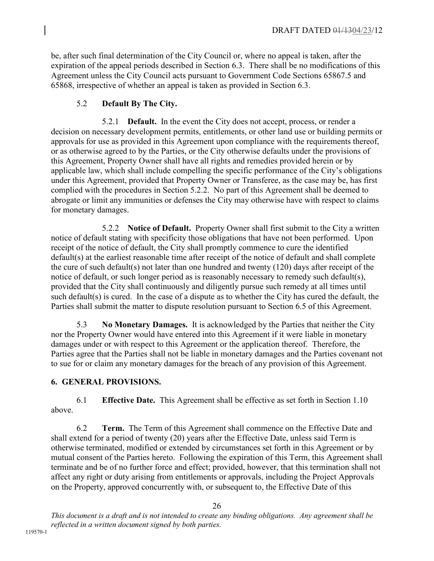be, after such final determination of the City Council or, where no appeal is taken, after the expiration of the appeal periods described in Section 6.3. There shall be no modifications of this Agreement unless the City Council acts pursuant to Government Code Sections 65867.5 and 65868, irrespective of whether an appeal is taken as provided in Section 6.3.

# 5.2 **Default By The City.**

5.2.1 **Default.** In the event the City does not accept, process, or render a decision on necessary development permits, entitlements, or other land use or building permits or approvals for use as provided in this Agreement upon compliance with the requirements thereof, or as otherwise agreed to by the Parties, or the City otherwise defaults under the provisions of this Agreement, Property Owner shall have all rights and remedies provided herein or by applicable law, which shall include compelling the specific performance of the City's obligations under this Agreement, provided that Property Owner or Transferee, as the case may be, has first complied with the procedures in Section 5.2.2. No part of this Agreement shall be deemed to abrogate or limit any immunities or defenses the City may otherwise have with respect to claims for monetary damages.

5.2.2 **Notice of Default.** Property Owner shall first submit to the City a written notice of default stating with specificity those obligations that have not been performed. Upon receipt of the notice of default, the City shall promptly commence to cure the identified default(s) at the earliest reasonable time after receipt of the notice of default and shall complete the cure of such default(s) not later than one hundred and twenty (120) days after receipt of the notice of default, or such longer period as is reasonably necessary to remedy such default(s), provided that the City shall continuously and diligently pursue such remedy at all times until such default(s) is cured. In the case of a dispute as to whether the City has cured the default, the Parties shall submit the matter to dispute resolution pursuant to Section 6.5 of this Agreement.

5.3 **No Monetary Damages.** It is acknowledged by the Parties that neither the City nor the Property Owner would have entered into this Agreement if it were liable in monetary damages under or with respect to this Agreement or the application thereof. Therefore, the Parties agree that the Parties shall not be liable in monetary damages and the Parties covenant not to sue for or claim any monetary damages for the breach of any provision of this Agreement.

# **6. GENERAL PROVISIONS.**

6.1 **Effective Date.** This Agreement shall be effective as set forth in Section 1.10 above.

6.2 **Term.** The Term of this Agreement shall commence on the Effective Date and shall extend for a period of twenty (20) years after the Effective Date, unless said Term is otherwise terminated, modified or extended by circumstances set forth in this Agreement or by mutual consent of the Parties hereto. Following the expiration of this Term, this Agreement shall terminate and be of no further force and effect; provided, however, that this termination shall not affect any right or duty arising from entitlements or approvals, including the Project Approvals on the Property, approved concurrently with, or subsequent to, the Effective Date of this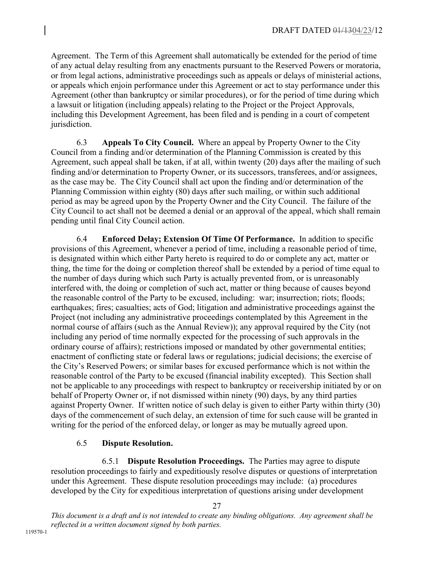Agreement. The Term of this Agreement shall automatically be extended for the period of time of any actual delay resulting from any enactments pursuant to the Reserved Powers or moratoria, or from legal actions, administrative proceedings such as appeals or delays of ministerial actions, or appeals which enjoin performance under this Agreement or act to stay performance under this Agreement (other than bankruptcy or similar procedures), or for the period of time during which a lawsuit or litigation (including appeals) relating to the Project or the Project Approvals, including this Development Agreement, has been filed and is pending in a court of competent jurisdiction.

6.3 **Appeals To City Council.** Where an appeal by Property Owner to the City Council from a finding and/or determination of the Planning Commission is created by this Agreement, such appeal shall be taken, if at all, within twenty (20) days after the mailing of such finding and/or determination to Property Owner, or its successors, transferees, and/or assignees, as the case may be. The City Council shall act upon the finding and/or determination of the Planning Commission within eighty (80) days after such mailing, or within such additional period as may be agreed upon by the Property Owner and the City Council. The failure of the City Council to act shall not be deemed a denial or an approval of the appeal, which shall remain pending until final City Council action.

6.4 **Enforced Delay; Extension Of Time Of Performance.** In addition to specific provisions of this Agreement, whenever a period of time, including a reasonable period of time, is designated within which either Party hereto is required to do or complete any act, matter or thing, the time for the doing or completion thereof shall be extended by a period of time equal to the number of days during which such Party is actually prevented from, or is unreasonably interfered with, the doing or completion of such act, matter or thing because of causes beyond the reasonable control of the Party to be excused, including: war; insurrection; riots; floods; earthquakes; fires; casualties; acts of God; litigation and administrative proceedings against the Project (not including any administrative proceedings contemplated by this Agreement in the normal course of affairs (such as the Annual Review)); any approval required by the City (not including any period of time normally expected for the processing of such approvals in the ordinary course of affairs); restrictions imposed or mandated by other governmental entities; enactment of conflicting state or federal laws or regulations; judicial decisions; the exercise of the City's Reserved Powers; or similar bases for excused performance which is not within the reasonable control of the Party to be excused (financial inability excepted). This Section shall not be applicable to any proceedings with respect to bankruptcy or receivership initiated by or on behalf of Property Owner or, if not dismissed within ninety (90) days, by any third parties against Property Owner. If written notice of such delay is given to either Party within thirty (30) days of the commencement of such delay, an extension of time for such cause will be granted in writing for the period of the enforced delay, or longer as may be mutually agreed upon.

# 6.5 **Dispute Resolution.**

6.5.1 **Dispute Resolution Proceedings.** The Parties may agree to dispute resolution proceedings to fairly and expeditiously resolve disputes or questions of interpretation under this Agreement. These dispute resolution proceedings may include: (a) procedures developed by the City for expeditious interpretation of questions arising under development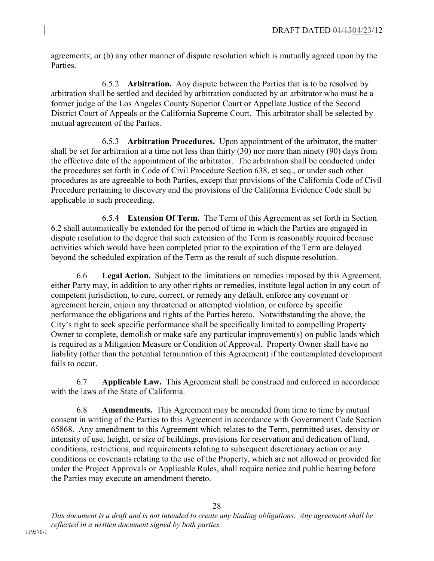agreements; or (b) any other manner of dispute resolution which is mutually agreed upon by the **Parties** 

6.5.2 **Arbitration.** Any dispute between the Parties that is to be resolved by arbitration shall be settled and decided by arbitration conducted by an arbitrator who must be a former judge of the Los Angeles County Superior Court or Appellate Justice of the Second District Court of Appeals or the California Supreme Court. This arbitrator shall be selected by mutual agreement of the Parties.

6.5.3 **Arbitration Procedures.** Upon appointment of the arbitrator, the matter shall be set for arbitration at a time not less than thirty (30) nor more than ninety (90) days from the effective date of the appointment of the arbitrator. The arbitration shall be conducted under the procedures set forth in Code of Civil Procedure Section 638, et seq., or under such other procedures as are agreeable to both Parties, except that provisions of the California Code of Civil Procedure pertaining to discovery and the provisions of the California Evidence Code shall be applicable to such proceeding.

6.5.4 **Extension Of Term.** The Term of this Agreement as set forth in Section 6.2 shall automatically be extended for the period of time in which the Parties are engaged in dispute resolution to the degree that such extension of the Term is reasonably required because activities which would have been completed prior to the expiration of the Term are delayed beyond the scheduled expiration of the Term as the result of such dispute resolution.

6.6 **Legal Action.** Subject to the limitations on remedies imposed by this Agreement, either Party may, in addition to any other rights or remedies, institute legal action in any court of competent jurisdiction, to cure, correct, or remedy any default, enforce any covenant or agreement herein, enjoin any threatened or attempted violation, or enforce by specific performance the obligations and rights of the Parties hereto. Notwithstanding the above, the City's right to seek specific performance shall be specifically limited to compelling Property Owner to complete, demolish or make safe any particular improvement(s) on public lands which is required as a Mitigation Measure or Condition of Approval. Property Owner shall have no liability (other than the potential termination of this Agreement) if the contemplated development fails to occur.

6.7 **Applicable Law.** This Agreement shall be construed and enforced in accordance with the laws of the State of California.

6.8 **Amendments.** This Agreement may be amended from time to time by mutual consent in writing of the Parties to this Agreement in accordance with Government Code Section 65868. Any amendment to this Agreement which relates to the Term, permitted uses, density or intensity of use, height, or size of buildings, provisions for reservation and dedication of land, conditions, restrictions, and requirements relating to subsequent discretionary action or any conditions or covenants relating to the use of the Property, which are not allowed or provided for under the Project Approvals or Applicable Rules, shall require notice and public hearing before the Parties may execute an amendment thereto.

*This document is a draft and is not intended to create any binding obligations. Any agreement shall be reflected in a written document signed by both parties.*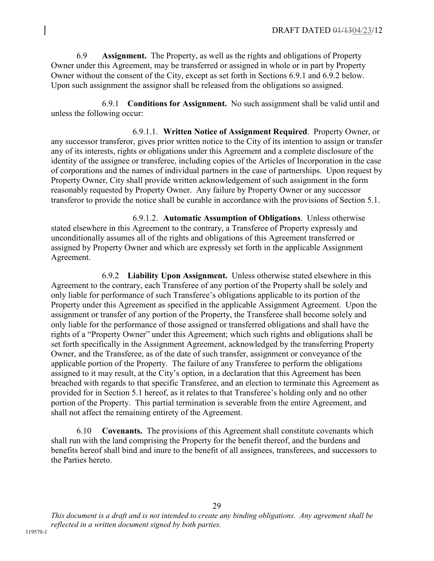6.9 **Assignment.** The Property, as well as the rights and obligations of Property Owner under this Agreement, may be transferred or assigned in whole or in part by Property Owner without the consent of the City, except as set forth in Sections 6.9.1 and 6.9.2 below. Upon such assignment the assignor shall be released from the obligations so assigned.

6.9.1 **Conditions for Assignment.** No such assignment shall be valid until and unless the following occur:

6.9.1.1. **Written Notice of Assignment Required**. Property Owner, or any successor transferor, gives prior written notice to the City of its intention to assign or transfer any of its interests, rights or obligations under this Agreement and a complete disclosure of the identity of the assignee or transferee, including copies of the Articles of Incorporation in the case of corporations and the names of individual partners in the case of partnerships. Upon request by Property Owner, City shall provide written acknowledgement of such assignment in the form reasonably requested by Property Owner. Any failure by Property Owner or any successor transferor to provide the notice shall be curable in accordance with the provisions of Section 5.1.

6.9.1.2. **Automatic Assumption of Obligations**. Unless otherwise stated elsewhere in this Agreement to the contrary, a Transferee of Property expressly and unconditionally assumes all of the rights and obligations of this Agreement transferred or assigned by Property Owner and which are expressly set forth in the applicable Assignment Agreement.

6.9.2 **Liability Upon Assignment.** Unless otherwise stated elsewhere in this Agreement to the contrary, each Transferee of any portion of the Property shall be solely and only liable for performance of such Transferee's obligations applicable to its portion of the Property under this Agreement as specified in the applicable Assignment Agreement. Upon the assignment or transfer of any portion of the Property, the Transferee shall become solely and only liable for the performance of those assigned or transferred obligations and shall have the rights of a "Property Owner" under this Agreement; which such rights and obligations shall be set forth specifically in the Assignment Agreement, acknowledged by the transferring Property Owner, and the Transferee, as of the date of such transfer, assignment or conveyance of the applicable portion of the Property. The failure of any Transferee to perform the obligations assigned to it may result, at the City's option, in a declaration that this Agreement has been breached with regards to that specific Transferee, and an election to terminate this Agreement as provided for in Section 5.1 hereof, as it relates to that Transferee's holding only and no other portion of the Property. This partial termination is severable from the entire Agreement, and shall not affect the remaining entirety of the Agreement.

6.10 **Covenants.** The provisions of this Agreement shall constitute covenants which shall run with the land comprising the Property for the benefit thereof, and the burdens and benefits hereof shall bind and inure to the benefit of all assignees, transferees, and successors to the Parties hereto.

*This document is a draft and is not intended to create any binding obligations. Any agreement shall be reflected in a written document signed by both parties.*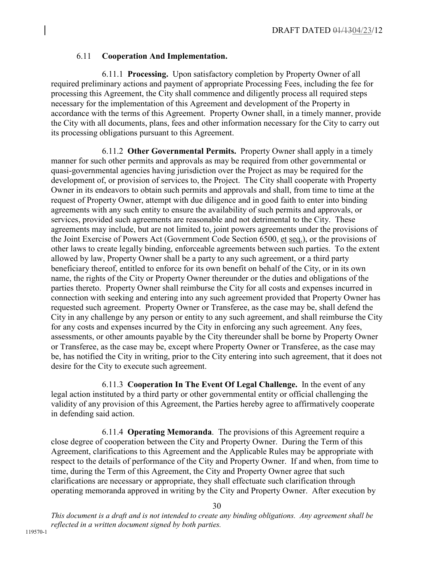#### 6.11 **Cooperation And Implementation.**

6.11.1 **Processing.** Upon satisfactory completion by Property Owner of all required preliminary actions and payment of appropriate Processing Fees, including the fee for processing this Agreement, the City shall commence and diligently process all required steps necessary for the implementation of this Agreement and development of the Property in accordance with the terms of this Agreement. Property Owner shall, in a timely manner, provide the City with all documents, plans, fees and other information necessary for the City to carry out its processing obligations pursuant to this Agreement.

6.11.2 **Other Governmental Permits.** Property Owner shall apply in a timely manner for such other permits and approvals as may be required from other governmental or quasi-governmental agencies having jurisdiction over the Project as may be required for the development of, or provision of services to, the Project. The City shall cooperate with Property Owner in its endeavors to obtain such permits and approvals and shall, from time to time at the request of Property Owner, attempt with due diligence and in good faith to enter into binding agreements with any such entity to ensure the availability of such permits and approvals, or services, provided such agreements are reasonable and not detrimental to the City. These agreements may include, but are not limited to, joint powers agreements under the provisions of the Joint Exercise of Powers Act (Government Code Section 6500, et seq.), or the provisions of other laws to create legally binding, enforceable agreements between such parties. To the extent allowed by law, Property Owner shall be a party to any such agreement, or a third party beneficiary thereof, entitled to enforce for its own benefit on behalf of the City, or in its own name, the rights of the City or Property Owner thereunder or the duties and obligations of the parties thereto. Property Owner shall reimburse the City for all costs and expenses incurred in connection with seeking and entering into any such agreement provided that Property Owner has requested such agreement. Property Owner or Transferee, as the case may be, shall defend the City in any challenge by any person or entity to any such agreement, and shall reimburse the City for any costs and expenses incurred by the City in enforcing any such agreement. Any fees, assessments, or other amounts payable by the City thereunder shall be borne by Property Owner or Transferee, as the case may be, except where Property Owner or Transferee, as the case may be, has notified the City in writing, prior to the City entering into such agreement, that it does not desire for the City to execute such agreement.

6.11.3 **Cooperation In The Event Of Legal Challenge.** In the event of any legal action instituted by a third party or other governmental entity or official challenging the validity of any provision of this Agreement, the Parties hereby agree to affirmatively cooperate in defending said action.

6.11.4 **Operating Memoranda**. The provisions of this Agreement require a close degree of cooperation between the City and Property Owner. During the Term of this Agreement, clarifications to this Agreement and the Applicable Rules may be appropriate with respect to the details of performance of the City and Property Owner. If and when, from time to time, during the Term of this Agreement, the City and Property Owner agree that such clarifications are necessary or appropriate, they shall effectuate such clarification through operating memoranda approved in writing by the City and Property Owner. After execution by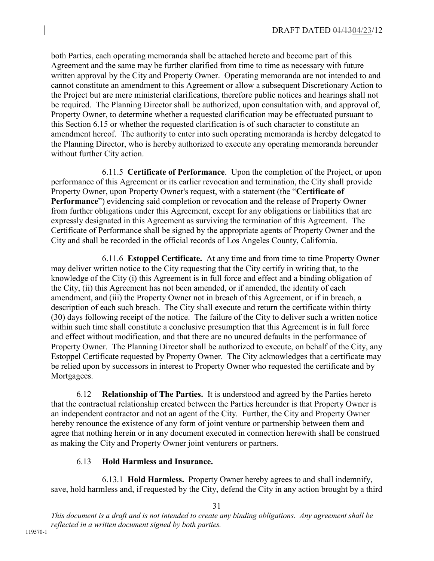both Parties, each operating memoranda shall be attached hereto and become part of this Agreement and the same may be further clarified from time to time as necessary with future written approval by the City and Property Owner. Operating memoranda are not intended to and cannot constitute an amendment to this Agreement or allow a subsequent Discretionary Action to the Project but are mere ministerial clarifications, therefore public notices and hearings shall not be required. The Planning Director shall be authorized, upon consultation with, and approval of, Property Owner, to determine whether a requested clarification may be effectuated pursuant to this Section 6.15 or whether the requested clarification is of such character to constitute an amendment hereof. The authority to enter into such operating memoranda is hereby delegated to the Planning Director, who is hereby authorized to execute any operating memoranda hereunder without further City action.

6.11.5 **Certificate of Performance**. Upon the completion of the Project, or upon performance of this Agreement or its earlier revocation and termination, the City shall provide Property Owner, upon Property Owner's request, with a statement (the "**Certificate of Performance**") evidencing said completion or revocation and the release of Property Owner from further obligations under this Agreement, except for any obligations or liabilities that are expressly designated in this Agreement as surviving the termination of this Agreement. The Certificate of Performance shall be signed by the appropriate agents of Property Owner and the City and shall be recorded in the official records of Los Angeles County, California.

6.11.6 **Estoppel Certificate.** At any time and from time to time Property Owner may deliver written notice to the City requesting that the City certify in writing that, to the knowledge of the City (i) this Agreement is in full force and effect and a binding obligation of the City, (ii) this Agreement has not been amended, or if amended, the identity of each amendment, and (iii) the Property Owner not in breach of this Agreement, or if in breach, a description of each such breach. The City shall execute and return the certificate within thirty (30) days following receipt of the notice. The failure of the City to deliver such a written notice within such time shall constitute a conclusive presumption that this Agreement is in full force and effect without modification, and that there are no uncured defaults in the performance of Property Owner. The Planning Director shall be authorized to execute, on behalf of the City, any Estoppel Certificate requested by Property Owner. The City acknowledges that a certificate may be relied upon by successors in interest to Property Owner who requested the certificate and by Mortgagees.

6.12 **Relationship of The Parties.** It is understood and agreed by the Parties hereto that the contractual relationship created between the Parties hereunder is that Property Owner is an independent contractor and not an agent of the City. Further, the City and Property Owner hereby renounce the existence of any form of joint venture or partnership between them and agree that nothing herein or in any document executed in connection herewith shall be construed as making the City and Property Owner joint venturers or partners.

# 6.13 **Hold Harmless and Insurance.**

6.13.1 **Hold Harmless.** Property Owner hereby agrees to and shall indemnify, save, hold harmless and, if requested by the City, defend the City in any action brought by a third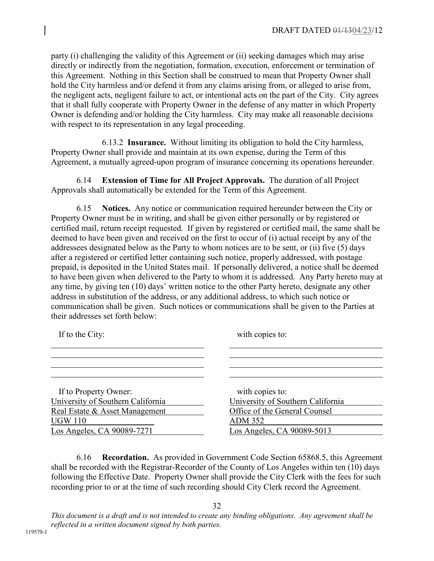party (i) challenging the validity of this Agreement or (ii) seeking damages which may arise directly or indirectly from the negotiation, formation, execution, enforcement or termination of this Agreement. Nothing in this Section shall be construed to mean that Property Owner shall hold the City harmless and/or defend it from any claims arising from, or alleged to arise from, the negligent acts, negligent failure to act, or intentional acts on the part of the City. City agrees that it shall fully cooperate with Property Owner in the defense of any matter in which Property Owner is defending and/or holding the City harmless. City may make all reasonable decisions with respect to its representation in any legal proceeding.

6.13.2 **Insurance.** Without limiting its obligation to hold the City harmless, Property Owner shall provide and maintain at its own expense, during the Term of this Agreement, a mutually agreed-upon program of insurance concerning its operations hereunder.

6.14 **Extension of Time for All Project Approvals.** The duration of all Project Approvals shall automatically be extended for the Term of this Agreement.

6.15 **Notices.** Any notice or communication required hereunder between the City or Property Owner must be in writing, and shall be given either personally or by registered or certified mail, return receipt requested. If given by registered or certified mail, the same shall be deemed to have been given and received on the first to occur of (i) actual receipt by any of the addressees designated below as the Party to whom notices are to be sent, or (ii) five (5) days after a registered or certified letter containing such notice, properly addressed, with postage prepaid, is deposited in the United States mail. If personally delivered, a notice shall be deemed to have been given when delivered to the Party to whom it is addressed. Any Party hereto may at any time, by giving ten (10) days' written notice to the other Party hereto, designate any other address in substitution of the address, or any additional address, to which such notice or communication shall be given. Such notices or communications shall be given to the Parties at their addresses set forth below:

| If to the City:                   | with copies to:                   |
|-----------------------------------|-----------------------------------|
|                                   |                                   |
| If to Property Owner:             | with copies to:                   |
| University of Southern California | University of Southern California |
| Real Estate & Asset Management    | Office of the General Counsel     |
| <b>UGW 110</b>                    | <b>ADM 352</b>                    |
| Los Angeles, CA 90089-7271        | Los Angeles, CA 90089-5013        |

6.16 **Recordation.** As provided in Government Code Section 65868.5, this Agreement shall be recorded with the Registrar-Recorder of the County of Los Angeles within ten (10) days following the Effective Date. Property Owner shall provide the City Clerk with the fees for such recording prior to or at the time of such recording should City Clerk record the Agreement.

32 *This document is a draft and is not intended to create any binding obligations. Any agreement shall be* 

*reflected in a written document signed by both parties.*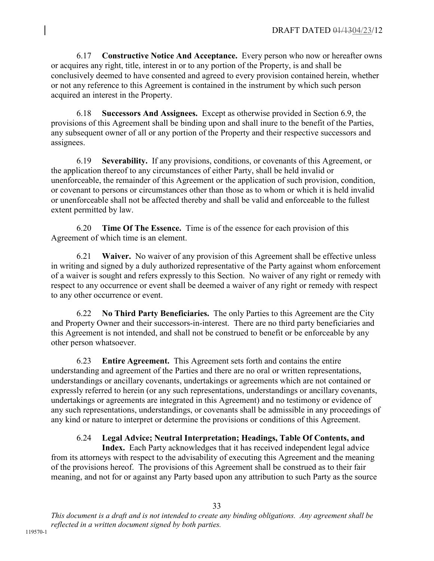6.17 **Constructive Notice And Acceptance.** Every person who now or hereafter owns or acquires any right, title, interest in or to any portion of the Property, is and shall be conclusively deemed to have consented and agreed to every provision contained herein, whether or not any reference to this Agreement is contained in the instrument by which such person acquired an interest in the Property.

6.18 **Successors And Assignees.** Except as otherwise provided in Section 6.9, the provisions of this Agreement shall be binding upon and shall inure to the benefit of the Parties, any subsequent owner of all or any portion of the Property and their respective successors and assignees.

6.19 **Severability.** If any provisions, conditions, or covenants of this Agreement, or the application thereof to any circumstances of either Party, shall be held invalid or unenforceable, the remainder of this Agreement or the application of such provision, condition, or covenant to persons or circumstances other than those as to whom or which it is held invalid or unenforceable shall not be affected thereby and shall be valid and enforceable to the fullest extent permitted by law.

6.20 **Time Of The Essence.** Time is of the essence for each provision of this Agreement of which time is an element.

6.21 **Waiver.** No waiver of any provision of this Agreement shall be effective unless in writing and signed by a duly authorized representative of the Party against whom enforcement of a waiver is sought and refers expressly to this Section. No waiver of any right or remedy with respect to any occurrence or event shall be deemed a waiver of any right or remedy with respect to any other occurrence or event.

6.22 **No Third Party Beneficiaries.** The only Parties to this Agreement are the City and Property Owner and their successors-in-interest. There are no third party beneficiaries and this Agreement is not intended, and shall not be construed to benefit or be enforceable by any other person whatsoever.

6.23 **Entire Agreement.** This Agreement sets forth and contains the entire understanding and agreement of the Parties and there are no oral or written representations, understandings or ancillary covenants, undertakings or agreements which are not contained or expressly referred to herein (or any such representations, understandings or ancillary covenants, undertakings or agreements are integrated in this Agreement) and no testimony or evidence of any such representations, understandings, or covenants shall be admissible in any proceedings of any kind or nature to interpret or determine the provisions or conditions of this Agreement.

# 6.24 **Legal Advice; Neutral Interpretation; Headings, Table Of Contents, and**

**Index.** Each Party acknowledges that it has received independent legal advice from its attorneys with respect to the advisability of executing this Agreement and the meaning of the provisions hereof. The provisions of this Agreement shall be construed as to their fair meaning, and not for or against any Party based upon any attribution to such Party as the source

*This document is a draft and is not intended to create any binding obligations. Any agreement shall be reflected in a written document signed by both parties.*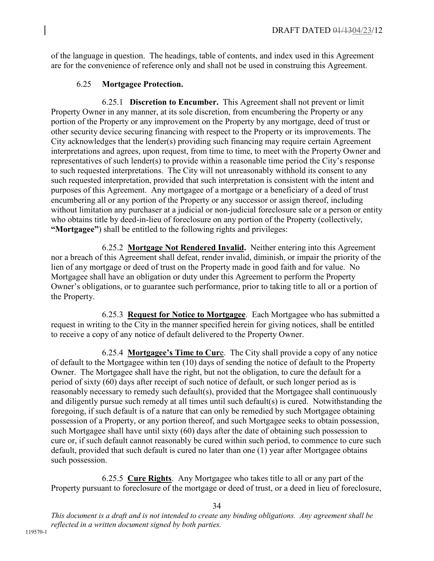of the language in question. The headings, table of contents, and index used in this Agreement are for the convenience of reference only and shall not be used in construing this Agreement.

## 6.25 **Mortgagee Protection.**

 6.25.1 **Discretion to Encumber.** This Agreement shall not prevent or limit Property Owner in any manner, at its sole discretion, from encumbering the Property or any portion of the Property or any improvement on the Property by any mortgage, deed of trust or other security device securing financing with respect to the Property or its improvements. The City acknowledges that the lender(s) providing such financing may require certain Agreement interpretations and agrees, upon request, from time to time, to meet with the Property Owner and representatives of such lender(s) to provide within a reasonable time period the City's response to such requested interpretations. The City will not unreasonably withhold its consent to any such requested interpretation, provided that such interpretation is consistent with the intent and purposes of this Agreement. Any mortgagee of a mortgage or a beneficiary of a deed of trust encumbering all or any portion of the Property or any successor or assign thereof, including without limitation any purchaser at a judicial or non-judicial foreclosure sale or a person or entity who obtains title by deed-in-lieu of foreclosure on any portion of the Property (collectively, **"Mortgagee"**) shall be entitled to the following rights and privileges:

 6.25.2 **Mortgage Not Rendered Invalid.** Neither entering into this Agreement nor a breach of this Agreement shall defeat, render invalid, diminish, or impair the priority of the lien of any mortgage or deed of trust on the Property made in good faith and for value. No Mortgagee shall have an obligation or duty under this Agreement to perform the Property Owner's obligations, or to guarantee such performance, prior to taking title to all or a portion of the Property.

 6.25.3 **Request for Notice to Mortgagee**. Each Mortgagee who has submitted a request in writing to the City in the manner specified herein for giving notices, shall be entitled to receive a copy of any notice of default delivered to the Property Owner.

 6.25.4 **Mortgagee's Time to Cur**e. The City shall provide a copy of any notice of default to the Mortgagee within ten (10) days of sending the notice of default to the Property Owner. The Mortgagee shall have the right, but not the obligation, to cure the default for a period of sixty (60) days after receipt of such notice of default, or such longer period as is reasonably necessary to remedy such default(s), provided that the Mortgagee shall continuously and diligently pursue such remedy at all times until such default(s) is cured. Notwithstanding the foregoing, if such default is of a nature that can only be remedied by such Mortgagee obtaining possession of a Property, or any portion thereof, and such Mortgagee seeks to obtain possession, such Mortgagee shall have until sixty (60) days after the date of obtaining such possession to cure or, if such default cannot reasonably be cured within such period, to commence to cure such default, provided that such default is cured no later than one (1) year after Mortgagee obtains such possession.

 6.25.5 **Cure Rights**. Any Mortgagee who takes title to all or any part of the Property pursuant to foreclosure of the mortgage or deed of trust, or a deed in lieu of foreclosure,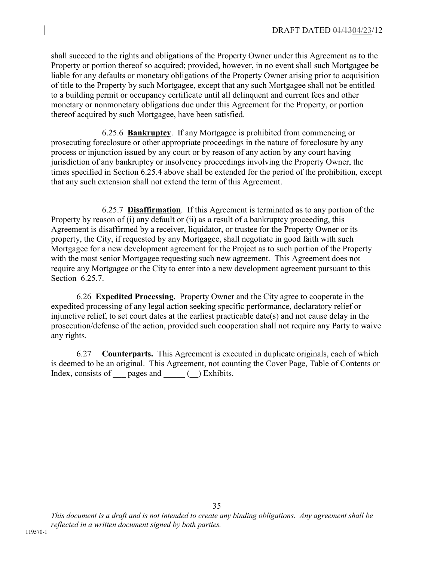shall succeed to the rights and obligations of the Property Owner under this Agreement as to the Property or portion thereof so acquired; provided, however, in no event shall such Mortgagee be liable for any defaults or monetary obligations of the Property Owner arising prior to acquisition of title to the Property by such Mortgagee, except that any such Mortgagee shall not be entitled to a building permit or occupancy certificate until all delinquent and current fees and other monetary or nonmonetary obligations due under this Agreement for the Property, or portion thereof acquired by such Mortgagee, have been satisfied.

 6.25.6 **Bankruptcy**. If any Mortgagee is prohibited from commencing or prosecuting foreclosure or other appropriate proceedings in the nature of foreclosure by any process or injunction issued by any court or by reason of any action by any court having jurisdiction of any bankruptcy or insolvency proceedings involving the Property Owner, the times specified in Section 6.25.4 above shall be extended for the period of the prohibition, except that any such extension shall not extend the term of this Agreement.

 6.25.7 **Disaffirmation**. If this Agreement is terminated as to any portion of the Property by reason of (i) any default or (ii) as a result of a bankruptcy proceeding, this Agreement is disaffirmed by a receiver, liquidator, or trustee for the Property Owner or its property, the City, if requested by any Mortgagee, shall negotiate in good faith with such Mortgagee for a new development agreement for the Project as to such portion of the Property with the most senior Mortgagee requesting such new agreement. This Agreement does not require any Mortgagee or the City to enter into a new development agreement pursuant to this Section 6.25.7.

 6.26 **Expedited Processing.** Property Owner and the City agree to cooperate in the expedited processing of any legal action seeking specific performance, declaratory relief or injunctive relief, to set court dates at the earliest practicable date(s) and not cause delay in the prosecution/defense of the action, provided such cooperation shall not require any Party to waive any rights.

6.27 **Counterparts.** This Agreement is executed in duplicate originals, each of which is deemed to be an original. This Agreement, not counting the Cover Page, Table of Contents or Index, consists of pages and (e.g. ) Exhibits.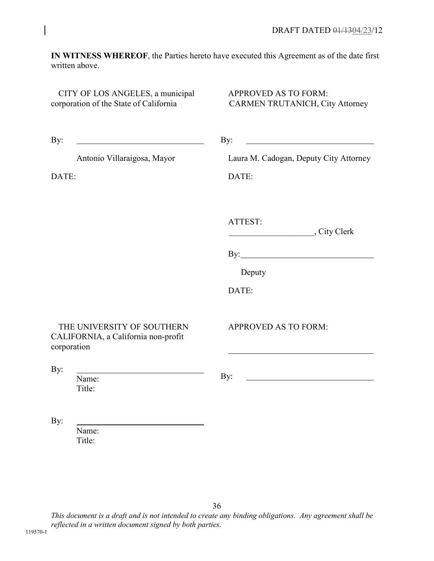**IN WITNESS WHEREOF**, the Parties hereto have executed this Agreement as of the date first written above.

CITY OF LOS ANGELES, a municipal corporation of the State of California

APPROVED AS TO FORM: CARMEN TRUTANICH, City Attorney

| By:                                                                              | By:                                    |
|----------------------------------------------------------------------------------|----------------------------------------|
| Antonio Villaraigosa, Mayor                                                      | Laura M. Cadogan, Deputy City Attorney |
| DATE:                                                                            | DATE:                                  |
|                                                                                  | ATTEST:<br>City Clerk                  |
|                                                                                  |                                        |
|                                                                                  | Deputy                                 |
|                                                                                  | DATE:                                  |
| THE UNIVERSITY OF SOUTHERN<br>CALIFORNIA, a California non-profit<br>corporation | <b>APPROVED AS TO FORM:</b>            |
| By:<br>Name:                                                                     | By:                                    |
| Title:                                                                           |                                        |
| By:                                                                              |                                        |
| Name:<br>Title:                                                                  |                                        |

*This document is a draft and is not intended to create any binding obligations. Any agreement shall be reflected in a written document signed by both parties.* 

36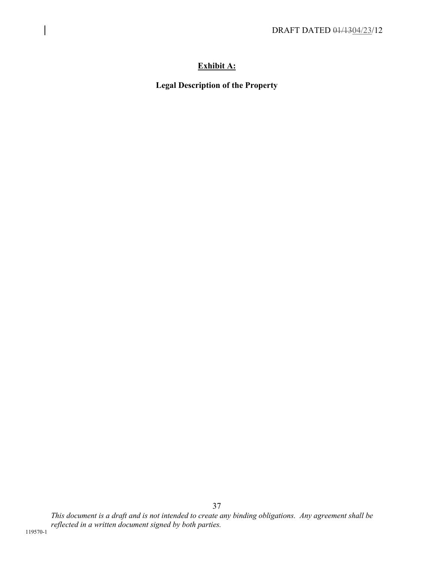# **Exhibit A:**

**Legal Description of the Property**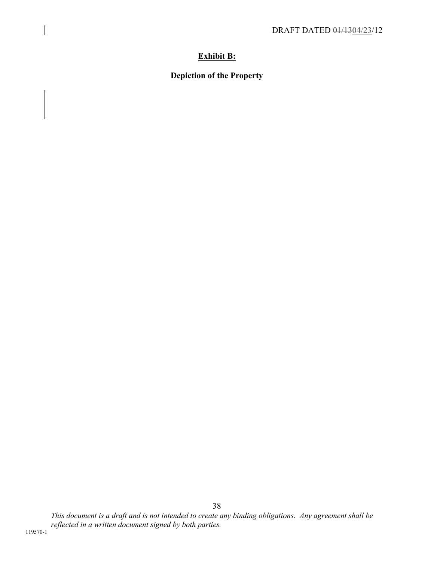# **Exhibit B:**

**Depiction of the Property**